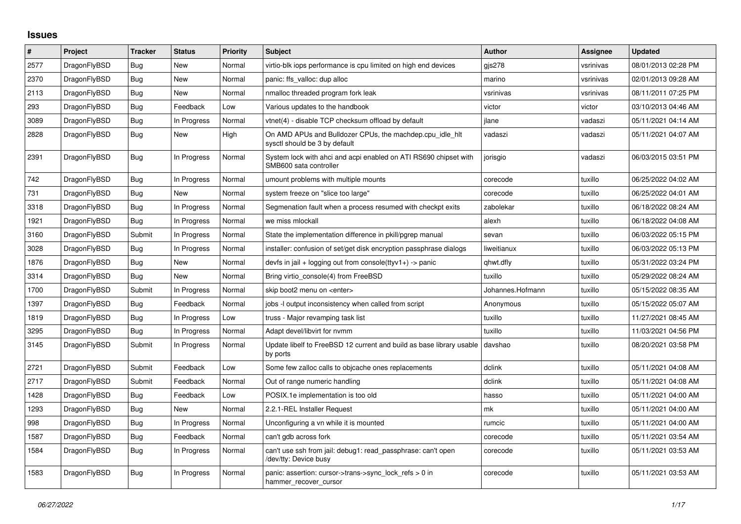## **Issues**

| $\vert$ # | Project      | <b>Tracker</b> | <b>Status</b> | Priority | <b>Subject</b>                                                                             | <b>Author</b>    | Assignee  | <b>Updated</b>      |
|-----------|--------------|----------------|---------------|----------|--------------------------------------------------------------------------------------------|------------------|-----------|---------------------|
| 2577      | DragonFlyBSD | <b>Bug</b>     | <b>New</b>    | Normal   | virtio-blk iops performance is cpu limited on high end devices                             | gjs278           | vsrinivas | 08/01/2013 02:28 PM |
| 2370      | DragonFlyBSD | Bug            | New           | Normal   | panic: ffs valloc: dup alloc                                                               | marino           | vsrinivas | 02/01/2013 09:28 AM |
| 2113      | DragonFlyBSD | Bug            | New           | Normal   | nmalloc threaded program fork leak                                                         | vsrinivas        | vsrinivas | 08/11/2011 07:25 PM |
| 293       | DragonFlyBSD | <b>Bug</b>     | Feedback      | Low      | Various updates to the handbook                                                            | victor           | victor    | 03/10/2013 04:46 AM |
| 3089      | DragonFlyBSD | Bug            | In Progress   | Normal   | vtnet(4) - disable TCP checksum offload by default                                         | ilane            | vadaszi   | 05/11/2021 04:14 AM |
| 2828      | DragonFlyBSD | Bug            | New           | High     | On AMD APUs and Bulldozer CPUs, the machdep.cpu idle hit<br>sysctl should be 3 by default  | vadaszi          | vadaszi   | 05/11/2021 04:07 AM |
| 2391      | DragonFlyBSD | Bug            | In Progress   | Normal   | System lock with ahci and acpi enabled on ATI RS690 chipset with<br>SMB600 sata controller | jorisgio         | vadaszi   | 06/03/2015 03:51 PM |
| 742       | DragonFlyBSD | <b>Bug</b>     | In Progress   | Normal   | umount problems with multiple mounts                                                       | corecode         | tuxillo   | 06/25/2022 04:02 AM |
| 731       | DragonFlyBSD | Bug            | New           | Normal   | system freeze on "slice too large"                                                         | corecode         | tuxillo   | 06/25/2022 04:01 AM |
| 3318      | DragonFlyBSD | Bug            | In Progress   | Normal   | Segmenation fault when a process resumed with checkpt exits                                | zabolekar        | tuxillo   | 06/18/2022 08:24 AM |
| 1921      | DragonFlyBSD | Bug            | In Progress   | Normal   | we miss mlockall                                                                           | alexh            | tuxillo   | 06/18/2022 04:08 AM |
| 3160      | DragonFlyBSD | Submit         | In Progress   | Normal   | State the implementation difference in pkill/pgrep manual                                  | sevan            | tuxillo   | 06/03/2022 05:15 PM |
| 3028      | DragonFlyBSD | Bug            | In Progress   | Normal   | installer: confusion of set/get disk encryption passphrase dialogs                         | liweitianux      | tuxillo   | 06/03/2022 05:13 PM |
| 1876      | DragonFlyBSD | Bug            | New           | Normal   | devfs in jail + logging out from console(ttyv1+) -> panic                                  | qhwt.dfly        | tuxillo   | 05/31/2022 03:24 PM |
| 3314      | DragonFlyBSD | Bug            | New           | Normal   | Bring virtio_console(4) from FreeBSD                                                       | tuxillo          | tuxillo   | 05/29/2022 08:24 AM |
| 1700      | DragonFlyBSD | Submit         | In Progress   | Normal   | skip boot2 menu on <enter></enter>                                                         | Johannes.Hofmann | tuxillo   | 05/15/2022 08:35 AM |
| 1397      | DragonFlyBSD | Bug            | Feedback      | Normal   | jobs -I output inconsistency when called from script                                       | Anonymous        | tuxillo   | 05/15/2022 05:07 AM |
| 1819      | DragonFlyBSD | Bug            | In Progress   | Low      | truss - Major revamping task list                                                          | tuxillo          | tuxillo   | 11/27/2021 08:45 AM |
| 3295      | DragonFlyBSD | <b>Bug</b>     | In Progress   | Normal   | Adapt devel/libvirt for nvmm                                                               | tuxillo          | tuxillo   | 11/03/2021 04:56 PM |
| 3145      | DragonFlyBSD | Submit         | In Progress   | Normal   | Update libelf to FreeBSD 12 current and build as base library usable<br>by ports           | davshao          | tuxillo   | 08/20/2021 03:58 PM |
| 2721      | DragonFlyBSD | Submit         | Feedback      | Low      | Some few zalloc calls to objcache ones replacements                                        | dclink           | tuxillo   | 05/11/2021 04:08 AM |
| 2717      | DragonFlyBSD | Submit         | Feedback      | Normal   | Out of range numeric handling                                                              | dclink           | tuxillo   | 05/11/2021 04:08 AM |
| 1428      | DragonFlyBSD | Bug            | Feedback      | Low      | POSIX.1e implementation is too old                                                         | hasso            | tuxillo   | 05/11/2021 04:00 AM |
| 1293      | DragonFlyBSD | Bug            | New           | Normal   | 2.2.1-REL Installer Request                                                                | mk               | tuxillo   | 05/11/2021 04:00 AM |
| 998       | DragonFlyBSD | Bug            | In Progress   | Normal   | Unconfiguring a vn while it is mounted                                                     | rumcic           | tuxillo   | 05/11/2021 04:00 AM |
| 1587      | DragonFlyBSD | Bug            | Feedback      | Normal   | can't gdb across fork                                                                      | corecode         | tuxillo   | 05/11/2021 03:54 AM |
| 1584      | DragonFlyBSD | Bug            | In Progress   | Normal   | can't use ssh from jail: debug1: read passphrase: can't open<br>/dev/tty: Device busy      | corecode         | tuxillo   | 05/11/2021 03:53 AM |
| 1583      | DragonFlyBSD | Bug            | In Progress   | Normal   | panic: assertion: cursor->trans->sync_lock_refs > 0 in<br>hammer recover cursor            | corecode         | tuxillo   | 05/11/2021 03:53 AM |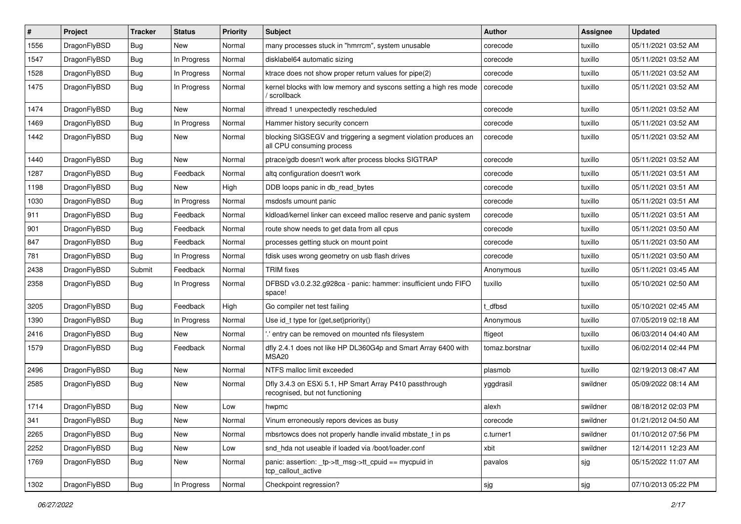| $\#$ | Project      | <b>Tracker</b> | <b>Status</b> | <b>Priority</b> | <b>Subject</b>                                                                               | <b>Author</b>  | <b>Assignee</b> | <b>Updated</b>      |
|------|--------------|----------------|---------------|-----------------|----------------------------------------------------------------------------------------------|----------------|-----------------|---------------------|
| 1556 | DragonFlyBSD | Bug            | New           | Normal          | many processes stuck in "hmrrcm", system unusable                                            | corecode       | tuxillo         | 05/11/2021 03:52 AM |
| 1547 | DragonFlyBSD | <b>Bug</b>     | In Progress   | Normal          | disklabel64 automatic sizing                                                                 | corecode       | tuxillo         | 05/11/2021 03:52 AM |
| 1528 | DragonFlyBSD | <b>Bug</b>     | In Progress   | Normal          | ktrace does not show proper return values for pipe(2)                                        | corecode       | tuxillo         | 05/11/2021 03:52 AM |
| 1475 | DragonFlyBSD | <b>Bug</b>     | In Progress   | Normal          | kernel blocks with low memory and syscons setting a high res mode<br>' scrollback            | corecode       | tuxillo         | 05/11/2021 03:52 AM |
| 1474 | DragonFlyBSD | <b>Bug</b>     | New           | Normal          | ithread 1 unexpectedly rescheduled                                                           | corecode       | tuxillo         | 05/11/2021 03:52 AM |
| 1469 | DragonFlyBSD | <b>Bug</b>     | In Progress   | Normal          | Hammer history security concern                                                              | corecode       | tuxillo         | 05/11/2021 03:52 AM |
| 1442 | DragonFlyBSD | <b>Bug</b>     | New           | Normal          | blocking SIGSEGV and triggering a segment violation produces an<br>all CPU consuming process | corecode       | tuxillo         | 05/11/2021 03:52 AM |
| 1440 | DragonFlyBSD | Bug            | New           | Normal          | ptrace/gdb doesn't work after process blocks SIGTRAP                                         | corecode       | tuxillo         | 05/11/2021 03:52 AM |
| 1287 | DragonFlyBSD | Bug            | Feedback      | Normal          | altg configuration doesn't work                                                              | corecode       | tuxillo         | 05/11/2021 03:51 AM |
| 1198 | DragonFlyBSD | Bug            | New           | High            | DDB loops panic in db_read_bytes                                                             | corecode       | tuxillo         | 05/11/2021 03:51 AM |
| 1030 | DragonFlyBSD | <b>Bug</b>     | In Progress   | Normal          | msdosfs umount panic                                                                         | corecode       | tuxillo         | 05/11/2021 03:51 AM |
| 911  | DragonFlyBSD | <b>Bug</b>     | Feedback      | Normal          | kldload/kernel linker can exceed malloc reserve and panic system                             | corecode       | tuxillo         | 05/11/2021 03:51 AM |
| 901  | DragonFlyBSD | Bug            | Feedback      | Normal          | route show needs to get data from all cpus                                                   | corecode       | tuxillo         | 05/11/2021 03:50 AM |
| 847  | DragonFlyBSD | Bug            | Feedback      | Normal          | processes getting stuck on mount point                                                       | corecode       | tuxillo         | 05/11/2021 03:50 AM |
| 781  | DragonFlyBSD | <b>Bug</b>     | In Progress   | Normal          | fdisk uses wrong geometry on usb flash drives                                                | corecode       | tuxillo         | 05/11/2021 03:50 AM |
| 2438 | DragonFlyBSD | Submit         | Feedback      | Normal          | <b>TRIM</b> fixes                                                                            | Anonymous      | tuxillo         | 05/11/2021 03:45 AM |
| 2358 | DragonFlyBSD | <b>Bug</b>     | In Progress   | Normal          | DFBSD v3.0.2.32.g928ca - panic: hammer: insufficient undo FIFO<br>space!                     | tuxillo        | tuxillo         | 05/10/2021 02:50 AM |
| 3205 | DragonFlyBSD | <b>Bug</b>     | Feedback      | High            | Go compiler net test failing                                                                 | t dfbsd        | tuxillo         | 05/10/2021 02:45 AM |
| 1390 | DragonFlyBSD | <b>Bug</b>     | In Progress   | Normal          | Use id_t type for {get,set}priority()                                                        | Anonymous      | tuxillo         | 07/05/2019 02:18 AM |
| 2416 | DragonFlyBSD | <b>Bug</b>     | New           | Normal          | ' entry can be removed on mounted nfs filesystem                                             | ftigeot        | tuxillo         | 06/03/2014 04:40 AM |
| 1579 | DragonFlyBSD | <b>Bug</b>     | Feedback      | Normal          | dfly 2.4.1 does not like HP DL360G4p and Smart Array 6400 with<br>MSA <sub>20</sub>          | tomaz.borstnar | tuxillo         | 06/02/2014 02:44 PM |
| 2496 | DragonFlyBSD | Bug            | <b>New</b>    | Normal          | NTFS malloc limit exceeded                                                                   | plasmob        | tuxillo         | 02/19/2013 08:47 AM |
| 2585 | DragonFlyBSD | <b>Bug</b>     | New           | Normal          | Dfly 3.4.3 on ESXi 5.1, HP Smart Array P410 passthrough<br>recognised, but not functioning   | yggdrasil      | swildner        | 05/09/2022 08:14 AM |
| 1714 | DragonFlyBSD | Bug            | New           | Low             | hwpmc                                                                                        | alexh          | swildner        | 08/18/2012 02:03 PM |
| 341  | DragonFlyBSD | Bug            | New           | Normal          | Vinum erroneously repors devices as busy                                                     | corecode       | swildner        | 01/21/2012 04:50 AM |
| 2265 | DragonFlyBSD | <b>Bug</b>     | New           | Normal          | mbsrtowcs does not properly handle invalid mbstate t in ps                                   | c.turner1      | swildner        | 01/10/2012 07:56 PM |
| 2252 | DragonFlyBSD | <b>Bug</b>     | New           | Low             | snd_hda not useable if loaded via /boot/loader.conf                                          | xbit           | swildner        | 12/14/2011 12:23 AM |
| 1769 | DragonFlyBSD | <b>Bug</b>     | New           | Normal          | panic: assertion: tp->tt_msg->tt_cpuid == mycpuid in<br>tcp_callout_active                   | pavalos        | sjg             | 05/15/2022 11:07 AM |
| 1302 | DragonFlyBSD | <b>Bug</b>     | In Progress   | Normal          | Checkpoint regression?                                                                       | sjg            | sjg             | 07/10/2013 05:22 PM |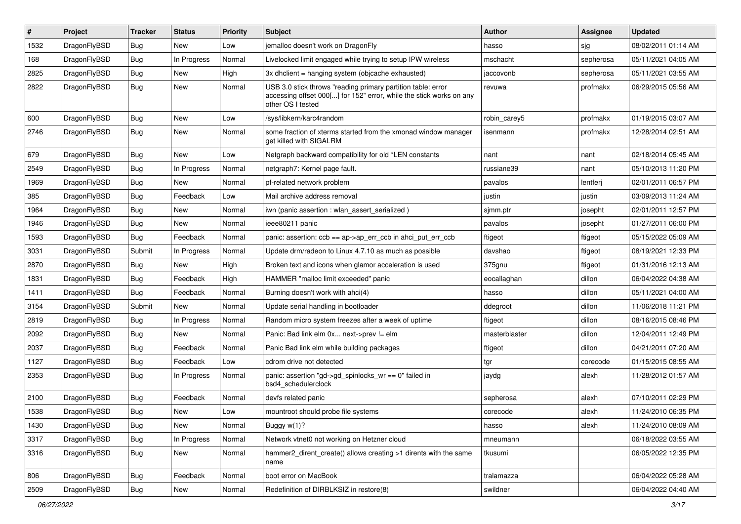| ∦    | Project      | <b>Tracker</b> | <b>Status</b> | <b>Priority</b> | Subject                                                                                                                                                  | <b>Author</b> | Assignee  | <b>Updated</b>      |
|------|--------------|----------------|---------------|-----------------|----------------------------------------------------------------------------------------------------------------------------------------------------------|---------------|-----------|---------------------|
| 1532 | DragonFlyBSD | Bug            | New           | Low             | jemalloc doesn't work on DragonFly                                                                                                                       | hasso         | sjg       | 08/02/2011 01:14 AM |
| 168  | DragonFlyBSD | <b>Bug</b>     | In Progress   | Normal          | Livelocked limit engaged while trying to setup IPW wireless                                                                                              | mschacht      | sepherosa | 05/11/2021 04:05 AM |
| 2825 | DragonFlyBSD | <b>Bug</b>     | New           | High            | 3x dhclient = hanging system (objcache exhausted)                                                                                                        | jaccovonb     | sepherosa | 05/11/2021 03:55 AM |
| 2822 | DragonFlyBSD | Bug            | New           | Normal          | USB 3.0 stick throws "reading primary partition table: error<br>accessing offset 000[] for 152" error, while the stick works on any<br>other OS I tested | revuwa        | profmakx  | 06/29/2015 05:56 AM |
| 600  | DragonFlyBSD | <b>Bug</b>     | New           | Low             | /sys/libkern/karc4random                                                                                                                                 | robin carey5  | profmakx  | 01/19/2015 03:07 AM |
| 2746 | DragonFlyBSD | <b>Bug</b>     | New           | Normal          | some fraction of xterms started from the xmonad window manager<br>get killed with SIGALRM                                                                | isenmann      | profmakx  | 12/28/2014 02:51 AM |
| 679  | DragonFlyBSD | <b>Bug</b>     | <b>New</b>    | Low             | Netgraph backward compatibility for old *LEN constants                                                                                                   | nant          | nant      | 02/18/2014 05:45 AM |
| 2549 | DragonFlyBSD | <b>Bug</b>     | In Progress   | Normal          | netgraph7: Kernel page fault.                                                                                                                            | russiane39    | nant      | 05/10/2013 11:20 PM |
| 1969 | DragonFlyBSD | <b>Bug</b>     | New           | Normal          | pf-related network problem                                                                                                                               | pavalos       | lentferj  | 02/01/2011 06:57 PM |
| 385  | DragonFlyBSD | <b>Bug</b>     | Feedback      | Low             | Mail archive address removal                                                                                                                             | justin        | justin    | 03/09/2013 11:24 AM |
| 1964 | DragonFlyBSD | <b>Bug</b>     | New           | Normal          | iwn (panic assertion : wlan assert serialized)                                                                                                           | sjmm.ptr      | josepht   | 02/01/2011 12:57 PM |
| 1946 | DragonFlyBSD | <b>Bug</b>     | New           | Normal          | ieee80211 panic                                                                                                                                          | pavalos       | josepht   | 01/27/2011 06:00 PM |
| 1593 | DragonFlyBSD | <b>Bug</b>     | Feedback      | Normal          | panic: assertion: $ccb == ap > ap$ err $ccb$ in ahci put err $ccb$                                                                                       | ftigeot       | ftigeot   | 05/15/2022 05:09 AM |
| 3031 | DragonFlyBSD | Submit         | In Progress   | Normal          | Update drm/radeon to Linux 4.7.10 as much as possible                                                                                                    | davshao       | ftigeot   | 08/19/2021 12:33 PM |
| 2870 | DragonFlyBSD | <b>Bug</b>     | New           | High            | Broken text and icons when glamor acceleration is used                                                                                                   | 375gnu        | ftigeot   | 01/31/2016 12:13 AM |
| 1831 | DragonFlyBSD | <b>Bug</b>     | Feedback      | High            | HAMMER "malloc limit exceeded" panic                                                                                                                     | eocallaghan   | dillon    | 06/04/2022 04:38 AM |
| 1411 | DragonFlyBSD | Bug            | Feedback      | Normal          | Burning doesn't work with ahci(4)                                                                                                                        | hasso         | dillon    | 05/11/2021 04:00 AM |
| 3154 | DragonFlyBSD | Submit         | New           | Normal          | Update serial handling in bootloader                                                                                                                     | ddegroot      | dillon    | 11/06/2018 11:21 PM |
| 2819 | DragonFlyBSD | <b>Bug</b>     | In Progress   | Normal          | Random micro system freezes after a week of uptime                                                                                                       | ftigeot       | dillon    | 08/16/2015 08:46 PM |
| 2092 | DragonFlyBSD | Bug            | New           | Normal          | Panic: Bad link elm 0x next->prev != elm                                                                                                                 | masterblaster | dillon    | 12/04/2011 12:49 PM |
| 2037 | DragonFlyBSD | <b>Bug</b>     | Feedback      | Normal          | Panic Bad link elm while building packages                                                                                                               | ftigeot       | dillon    | 04/21/2011 07:20 AM |
| 1127 | DragonFlyBSD | <b>Bug</b>     | Feedback      | Low             | cdrom drive not detected                                                                                                                                 | tgr           | corecode  | 01/15/2015 08:55 AM |
| 2353 | DragonFlyBSD | <b>Bug</b>     | In Progress   | Normal          | panic: assertion "gd->gd_spinlocks_wr == 0" failed in<br>bsd4_schedulerclock                                                                             | jaydg         | alexh     | 11/28/2012 01:57 AM |
| 2100 | DragonFlyBSD | <b>Bug</b>     | Feedback      | Normal          | devfs related panic                                                                                                                                      | sepherosa     | alexh     | 07/10/2011 02:29 PM |
| 1538 | DragonFlyBSD | <b>Bug</b>     | New           | Low             | mountroot should probe file systems                                                                                                                      | corecode      | alexh     | 11/24/2010 06:35 PM |
| 1430 | DragonFlyBSD | <b>Bug</b>     | New           | Normal          | Buggy w(1)?                                                                                                                                              | hasso         | alexh     | 11/24/2010 08:09 AM |
| 3317 | DragonFlyBSD | <b>Bug</b>     | In Progress   | Normal          | Network vtnet0 not working on Hetzner cloud                                                                                                              | mneumann      |           | 06/18/2022 03:55 AM |
| 3316 | DragonFlyBSD | <b>Bug</b>     | New           | Normal          | hammer2_dirent_create() allows creating >1 dirents with the same<br>name                                                                                 | tkusumi       |           | 06/05/2022 12:35 PM |
| 806  | DragonFlyBSD | <b>Bug</b>     | Feedback      | Normal          | boot error on MacBook                                                                                                                                    | tralamazza    |           | 06/04/2022 05:28 AM |
| 2509 | DragonFlyBSD | <b>Bug</b>     | New           | Normal          | Redefinition of DIRBLKSIZ in restore(8)                                                                                                                  | swildner      |           | 06/04/2022 04:40 AM |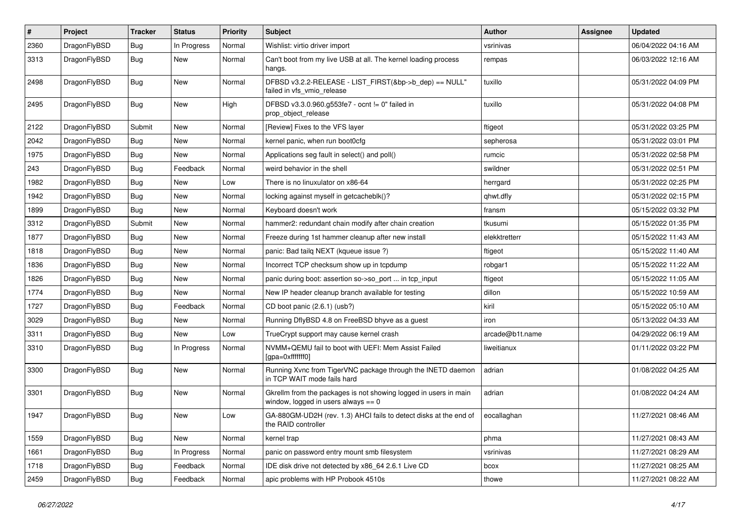| $\sharp$ | Project      | <b>Tracker</b> | <b>Status</b> | <b>Priority</b> | Subject                                                                                                   | Author          | <b>Assignee</b> | <b>Updated</b>      |
|----------|--------------|----------------|---------------|-----------------|-----------------------------------------------------------------------------------------------------------|-----------------|-----------------|---------------------|
| 2360     | DragonFlyBSD | <b>Bug</b>     | In Progress   | Normal          | Wishlist: virtio driver import                                                                            | vsrinivas       |                 | 06/04/2022 04:16 AM |
| 3313     | DragonFlyBSD | <b>Bug</b>     | <b>New</b>    | Normal          | Can't boot from my live USB at all. The kernel loading process<br>hangs.                                  | rempas          |                 | 06/03/2022 12:16 AM |
| 2498     | DragonFlyBSD | Bug            | New           | Normal          | DFBSD v3.2.2-RELEASE - LIST_FIRST(&bp->b_dep) == NULL"<br>failed in vfs vmio release                      | tuxillo         |                 | 05/31/2022 04:09 PM |
| 2495     | DragonFlyBSD | Bug            | New           | High            | DFBSD v3.3.0.960.g553fe7 - ocnt != 0" failed in<br>prop_object_release                                    | tuxillo         |                 | 05/31/2022 04:08 PM |
| 2122     | DragonFlyBSD | Submit         | <b>New</b>    | Normal          | [Review] Fixes to the VFS layer                                                                           | ftigeot         |                 | 05/31/2022 03:25 PM |
| 2042     | DragonFlyBSD | <b>Bug</b>     | New           | Normal          | kernel panic, when run boot0cfg                                                                           | sepherosa       |                 | 05/31/2022 03:01 PM |
| 1975     | DragonFlyBSD | Bug            | <b>New</b>    | Normal          | Applications seg fault in select() and poll()                                                             | rumcic          |                 | 05/31/2022 02:58 PM |
| 243      | DragonFlyBSD | <b>Bug</b>     | Feedback      | Normal          | weird behavior in the shell                                                                               | swildner        |                 | 05/31/2022 02:51 PM |
| 1982     | DragonFlyBSD | <b>Bug</b>     | New           | Low             | There is no linuxulator on x86-64                                                                         | herrgard        |                 | 05/31/2022 02:25 PM |
| 1942     | DragonFlyBSD | Bug            | <b>New</b>    | Normal          | locking against myself in getcacheblk()?                                                                  | qhwt.dfly       |                 | 05/31/2022 02:15 PM |
| 1899     | DragonFlyBSD | Bug            | <b>New</b>    | Normal          | Keyboard doesn't work                                                                                     | fransm          |                 | 05/15/2022 03:32 PM |
| 3312     | DragonFlyBSD | Submit         | New           | Normal          | hammer2: redundant chain modify after chain creation                                                      | tkusumi         |                 | 05/15/2022 01:35 PM |
| 1877     | DragonFlyBSD | Bug            | New           | Normal          | Freeze during 1st hammer cleanup after new install                                                        | elekktretterr   |                 | 05/15/2022 11:43 AM |
| 1818     | DragonFlyBSD | <b>Bug</b>     | New           | Normal          | panic: Bad tailg NEXT (kqueue issue ?)                                                                    | ftigeot         |                 | 05/15/2022 11:40 AM |
| 1836     | DragonFlyBSD | Bug            | New           | Normal          | Incorrect TCP checksum show up in tcpdump                                                                 | robgar1         |                 | 05/15/2022 11:22 AM |
| 1826     | DragonFlyBSD | <b>Bug</b>     | New           | Normal          | panic during boot: assertion so->so_port  in tcp_input                                                    | ftigeot         |                 | 05/15/2022 11:05 AM |
| 1774     | DragonFlyBSD | Bug            | <b>New</b>    | Normal          | New IP header cleanup branch available for testing                                                        | dillon          |                 | 05/15/2022 10:59 AM |
| 1727     | DragonFlyBSD | <b>Bug</b>     | Feedback      | Normal          | CD boot panic (2.6.1) (usb?)                                                                              | kiril           |                 | 05/15/2022 05:10 AM |
| 3029     | DragonFlyBSD | Bug            | New           | Normal          | Running DflyBSD 4.8 on FreeBSD bhyve as a guest                                                           | iron            |                 | 05/13/2022 04:33 AM |
| 3311     | DragonFlyBSD | Bug            | New           | Low             | TrueCrypt support may cause kernel crash                                                                  | arcade@b1t.name |                 | 04/29/2022 06:19 AM |
| 3310     | DragonFlyBSD | <b>Bug</b>     | In Progress   | Normal          | NVMM+QEMU fail to boot with UEFI: Mem Assist Failed<br>[gpa=0xfffffff0]                                   | liweitianux     |                 | 01/11/2022 03:22 PM |
| 3300     | DragonFlyBSD | <b>Bug</b>     | New           | Normal          | Running Xvnc from TigerVNC package through the INETD daemon<br>in TCP WAIT mode fails hard                | adrian          |                 | 01/08/2022 04:25 AM |
| 3301     | DragonFlyBSD | Bug            | <b>New</b>    | Normal          | Gkrellm from the packages is not showing logged in users in main<br>window, logged in users always $== 0$ | adrian          |                 | 01/08/2022 04:24 AM |
| 1947     | DragonFlyBSD | Bug            | <b>New</b>    | Low             | GA-880GM-UD2H (rev. 1.3) AHCI fails to detect disks at the end of<br>the RAID controller                  | eocallaghan     |                 | 11/27/2021 08:46 AM |
| 1559     | DragonFlyBSD | <b>Bug</b>     | New           | Normal          | kernel trap                                                                                               | phma            |                 | 11/27/2021 08:43 AM |
| 1661     | DragonFlyBSD | Bug            | In Progress   | Normal          | panic on password entry mount smb filesystem                                                              | vsrinivas       |                 | 11/27/2021 08:29 AM |
| 1718     | DragonFlyBSD | <b>Bug</b>     | Feedback      | Normal          | IDE disk drive not detected by x86_64 2.6.1 Live CD                                                       | bcox            |                 | 11/27/2021 08:25 AM |
| 2459     | DragonFlyBSD | <b>Bug</b>     | Feedback      | Normal          | apic problems with HP Probook 4510s                                                                       | thowe           |                 | 11/27/2021 08:22 AM |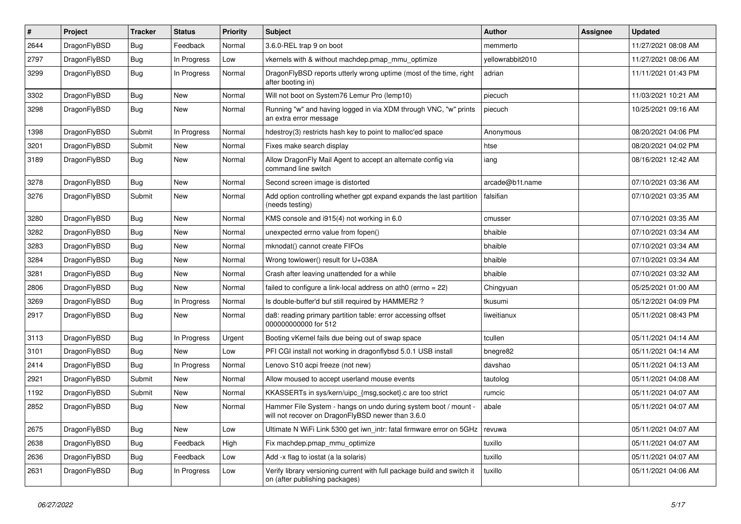| $\vert$ # | Project      | <b>Tracker</b> | <b>Status</b> | <b>Priority</b> | Subject                                                                                                              | Author           | Assignee | <b>Updated</b>      |
|-----------|--------------|----------------|---------------|-----------------|----------------------------------------------------------------------------------------------------------------------|------------------|----------|---------------------|
| 2644      | DragonFlyBSD | <b>Bug</b>     | Feedback      | Normal          | 3.6.0-REL trap 9 on boot                                                                                             | memmerto         |          | 11/27/2021 08:08 AM |
| 2797      | DragonFlyBSD | Bug            | In Progress   | Low             | vkernels with & without machdep.pmap_mmu_optimize                                                                    | yellowrabbit2010 |          | 11/27/2021 08:06 AM |
| 3299      | DragonFlyBSD | <b>Bug</b>     | In Progress   | Normal          | DragonFlyBSD reports utterly wrong uptime (most of the time, right<br>after booting in)                              | adrian           |          | 11/11/2021 01:43 PM |
| 3302      | DragonFlyBSD | Bug            | New           | Normal          | Will not boot on System76 Lemur Pro (lemp10)                                                                         | piecuch          |          | 11/03/2021 10:21 AM |
| 3298      | DragonFlyBSD | <b>Bug</b>     | New           | Normal          | Running "w" and having logged in via XDM through VNC, "w" prints<br>an extra error message                           | piecuch          |          | 10/25/2021 09:16 AM |
| 1398      | DragonFlyBSD | Submit         | In Progress   | Normal          | hdestroy(3) restricts hash key to point to malloc'ed space                                                           | Anonymous        |          | 08/20/2021 04:06 PM |
| 3201      | DragonFlyBSD | Submit         | New           | Normal          | Fixes make search display                                                                                            | htse             |          | 08/20/2021 04:02 PM |
| 3189      | DragonFlyBSD | Bug            | New           | Normal          | Allow DragonFly Mail Agent to accept an alternate config via<br>command line switch                                  | iang             |          | 08/16/2021 12:42 AM |
| 3278      | DragonFlyBSD | Bug            | <b>New</b>    | Normal          | Second screen image is distorted                                                                                     | arcade@b1t.name  |          | 07/10/2021 03:36 AM |
| 3276      | DragonFlyBSD | Submit         | New           | Normal          | Add option controlling whether gpt expand expands the last partition<br>(needs testina)                              | falsifian        |          | 07/10/2021 03:35 AM |
| 3280      | DragonFlyBSD | Bug            | New           | Normal          | KMS console and i915(4) not working in 6.0                                                                           | cmusser          |          | 07/10/2021 03:35 AM |
| 3282      | DragonFlyBSD | <b>Bug</b>     | New           | Normal          | unexpected errno value from fopen()                                                                                  | bhaible          |          | 07/10/2021 03:34 AM |
| 3283      | DragonFlyBSD | <b>Bug</b>     | <b>New</b>    | Normal          | mknodat() cannot create FIFOs                                                                                        | bhaible          |          | 07/10/2021 03:34 AM |
| 3284      | DragonFlyBSD | Bug            | <b>New</b>    | Normal          | Wrong towlower() result for U+038A                                                                                   | bhaible          |          | 07/10/2021 03:34 AM |
| 3281      | DragonFlyBSD | <b>Bug</b>     | <b>New</b>    | Normal          | Crash after leaving unattended for a while                                                                           | bhaible          |          | 07/10/2021 03:32 AM |
| 2806      | DragonFlyBSD | <b>Bug</b>     | New           | Normal          | failed to configure a link-local address on ath0 (errno = 22)                                                        | Chingyuan        |          | 05/25/2021 01:00 AM |
| 3269      | DragonFlyBSD | Bug            | In Progress   | Normal          | Is double-buffer'd buf still required by HAMMER2 ?                                                                   | tkusumi          |          | 05/12/2021 04:09 PM |
| 2917      | DragonFlyBSD | Bug            | New           | Normal          | da8: reading primary partition table: error accessing offset<br>000000000000 for 512                                 | liweitianux      |          | 05/11/2021 08:43 PM |
| 3113      | DragonFlyBSD | <b>Bug</b>     | In Progress   | Urgent          | Booting vKernel fails due being out of swap space                                                                    | tcullen          |          | 05/11/2021 04:14 AM |
| 3101      | DragonFlyBSD | Bug            | <b>New</b>    | Low             | PFI CGI install not working in dragonflybsd 5.0.1 USB install                                                        | bnegre82         |          | 05/11/2021 04:14 AM |
| 2414      | DragonFlyBSD | Bug            | In Progress   | Normal          | Lenovo S10 acpi freeze (not new)                                                                                     | davshao          |          | 05/11/2021 04:13 AM |
| 2921      | DragonFlyBSD | Submit         | New           | Normal          | Allow moused to accept userland mouse events                                                                         | tautolog         |          | 05/11/2021 04:08 AM |
| 1192      | DragonFlyBSD | Submit         | New           | Normal          | KKASSERTs in sys/kern/uipc_{msg,socket}.c are too strict                                                             | rumcic           |          | 05/11/2021 04:07 AM |
| 2852      | DragonFlyBSD | Bug            | New           | Normal          | Hammer File System - hangs on undo during system boot / mount -<br>will not recover on DragonFlyBSD newer than 3.6.0 | abale            |          | 05/11/2021 04:07 AM |
| 2675      | DragonFlyBSD | <b>Bug</b>     | New           | Low             | Ultimate N WiFi Link 5300 get iwn_intr: fatal firmware error on 5GHz                                                 | revuwa           |          | 05/11/2021 04:07 AM |
| 2638      | DragonFlyBSD | <b>Bug</b>     | Feedback      | High            | Fix machdep.pmap_mmu_optimize                                                                                        | tuxillo          |          | 05/11/2021 04:07 AM |
| 2636      | DragonFlyBSD | <b>Bug</b>     | Feedback      | Low             | Add -x flag to iostat (a la solaris)                                                                                 | tuxillo          |          | 05/11/2021 04:07 AM |
| 2631      | DragonFlyBSD | <b>Bug</b>     | In Progress   | Low             | Verify library versioning current with full package build and switch it<br>on (after publishing packages)            | tuxillo          |          | 05/11/2021 04:06 AM |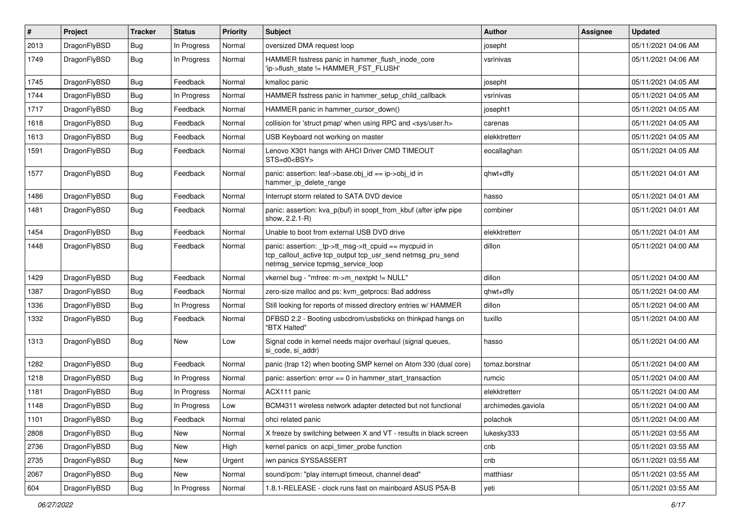| #    | Project      | <b>Tracker</b> | <b>Status</b> | <b>Priority</b> | <b>Subject</b>                                                                                                                                            | Author             | Assignee | <b>Updated</b>      |
|------|--------------|----------------|---------------|-----------------|-----------------------------------------------------------------------------------------------------------------------------------------------------------|--------------------|----------|---------------------|
| 2013 | DragonFlyBSD | <b>Bug</b>     | In Progress   | Normal          | oversized DMA request loop                                                                                                                                | josepht            |          | 05/11/2021 04:06 AM |
| 1749 | DragonFlyBSD | Bug            | In Progress   | Normal          | HAMMER fsstress panic in hammer_flush_inode_core<br>'ip->flush_state != HAMMER_FST_FLUSH'                                                                 | vsrinivas          |          | 05/11/2021 04:06 AM |
| 1745 | DragonFlyBSD | Bug            | Feedback      | Normal          | kmalloc panic                                                                                                                                             | josepht            |          | 05/11/2021 04:05 AM |
| 1744 | DragonFlyBSD | <b>Bug</b>     | In Progress   | Normal          | HAMMER fsstress panic in hammer setup child callback                                                                                                      | vsrinivas          |          | 05/11/2021 04:05 AM |
| 1717 | DragonFlyBSD | <b>Bug</b>     | Feedback      | Normal          | HAMMER panic in hammer cursor down()                                                                                                                      | josepht1           |          | 05/11/2021 04:05 AM |
| 1618 | DragonFlyBSD | Bug            | Feedback      | Normal          | collision for 'struct pmap' when using RPC and <sys user.h=""></sys>                                                                                      | carenas            |          | 05/11/2021 04:05 AM |
| 1613 | DragonFlyBSD | <b>Bug</b>     | Feedback      | Normal          | USB Keyboard not working on master                                                                                                                        | elekktretterr      |          | 05/11/2021 04:05 AM |
| 1591 | DragonFlyBSD | Bug            | Feedback      | Normal          | Lenovo X301 hangs with AHCI Driver CMD TIMEOUT<br>STS=d0 <bsy></bsy>                                                                                      | eocallaghan        |          | 05/11/2021 04:05 AM |
| 1577 | DragonFlyBSD | <b>Bug</b>     | Feedback      | Normal          | panic: assertion: leaf->base.obj_id == ip->obj_id in<br>hammer_ip_delete_range                                                                            | qhwt+dfly          |          | 05/11/2021 04:01 AM |
| 1486 | DragonFlyBSD | <b>Bug</b>     | Feedback      | Normal          | Interrupt storm related to SATA DVD device                                                                                                                | hasso              |          | 05/11/2021 04:01 AM |
| 1481 | DragonFlyBSD | <b>Bug</b>     | Feedback      | Normal          | panic: assertion: kva p(buf) in soopt from kbuf (after ipfw pipe<br>show, 2.2.1-R)                                                                        | combiner           |          | 05/11/2021 04:01 AM |
| 1454 | DragonFlyBSD | <b>Bug</b>     | Feedback      | Normal          | Unable to boot from external USB DVD drive                                                                                                                | elekktretterr      |          | 05/11/2021 04:01 AM |
| 1448 | DragonFlyBSD | Bug            | Feedback      | Normal          | panic: assertion: _tp->tt_msg->tt_cpuid == mycpuid in<br>tcp_callout_active tcp_output tcp_usr_send netmsg_pru_send<br>netmsg_service tcpmsg_service_loop | dillon             |          | 05/11/2021 04:00 AM |
| 1429 | DragonFlyBSD | Bug            | Feedback      | Normal          | vkernel bug - "mfree: m->m_nextpkt != NULL"                                                                                                               | dillon             |          | 05/11/2021 04:00 AM |
| 1387 | DragonFlyBSD | <b>Bug</b>     | Feedback      | Normal          | zero-size malloc and ps: kvm_getprocs: Bad address                                                                                                        | qhwt+dfly          |          | 05/11/2021 04:00 AM |
| 1336 | DragonFlyBSD | <b>Bug</b>     | In Progress   | Normal          | Still looking for reports of missed directory entries w/ HAMMER                                                                                           | dillon             |          | 05/11/2021 04:00 AM |
| 1332 | DragonFlyBSD | Bug            | Feedback      | Normal          | DFBSD 2.2 - Booting usbcdrom/usbsticks on thinkpad hangs on<br>"BTX Halted"                                                                               | tuxillo            |          | 05/11/2021 04:00 AM |
| 1313 | DragonFlyBSD | <b>Bug</b>     | New           | Low             | Signal code in kernel needs major overhaul (signal queues,<br>si_code, si_addr)                                                                           | hasso              |          | 05/11/2021 04:00 AM |
| 1282 | DragonFlyBSD | <b>Bug</b>     | Feedback      | Normal          | panic (trap 12) when booting SMP kernel on Atom 330 (dual core)                                                                                           | tomaz.borstnar     |          | 05/11/2021 04:00 AM |
| 1218 | DragonFlyBSD | <b>Bug</b>     | In Progress   | Normal          | panic: assertion: error == 0 in hammer_start_transaction                                                                                                  | rumcic             |          | 05/11/2021 04:00 AM |
| 1181 | DragonFlyBSD | <b>Bug</b>     | In Progress   | Normal          | ACX111 panic                                                                                                                                              | elekktretterr      |          | 05/11/2021 04:00 AM |
| 1148 | DragonFlyBSD | <b>Bug</b>     | In Progress   | Low             | BCM4311 wireless network adapter detected but not functional                                                                                              | archimedes.gaviola |          | 05/11/2021 04:00 AM |
| 1101 | DragonFlyBSD | Bug            | Feedback      | Normal          | ohci related panic                                                                                                                                        | polachok           |          | 05/11/2021 04:00 AM |
| 2808 | DragonFlyBSD | <b>Bug</b>     | New           | Normal          | X freeze by switching between X and VT - results in black screen                                                                                          | lukesky333         |          | 05/11/2021 03:55 AM |
| 2736 | DragonFlyBSD | <b>Bug</b>     | New           | High            | kernel panics on acpi timer probe function                                                                                                                | cnb                |          | 05/11/2021 03:55 AM |
| 2735 | DragonFlyBSD | Bug            | New           | Urgent          | iwn panics SYSSASSERT                                                                                                                                     | cnb                |          | 05/11/2021 03:55 AM |
| 2067 | DragonFlyBSD | <b>Bug</b>     | New           | Normal          | sound/pcm: "play interrupt timeout, channel dead"                                                                                                         | matthiasr          |          | 05/11/2021 03:55 AM |
| 604  | DragonFlyBSD | Bug            | In Progress   | Normal          | 1.8.1-RELEASE - clock runs fast on mainboard ASUS P5A-B                                                                                                   | yeti               |          | 05/11/2021 03:55 AM |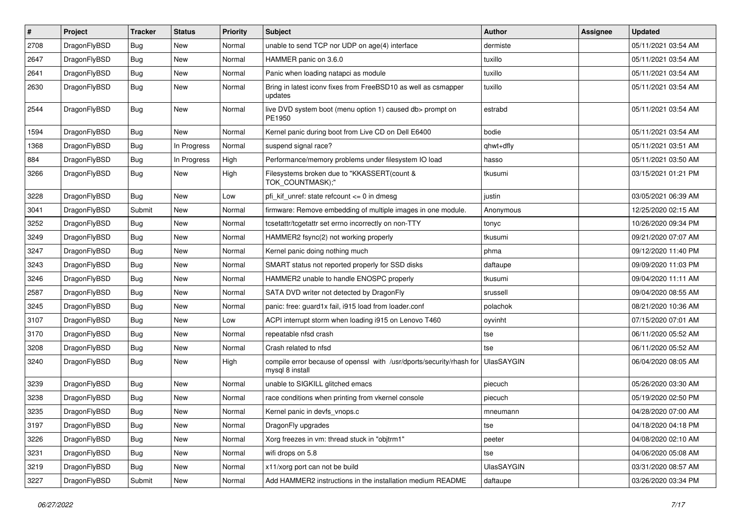| #    | Project      | <b>Tracker</b> | <b>Status</b> | <b>Priority</b> | Subject                                                                                 | <b>Author</b>     | Assignee | <b>Updated</b>      |
|------|--------------|----------------|---------------|-----------------|-----------------------------------------------------------------------------------------|-------------------|----------|---------------------|
| 2708 | DragonFlyBSD | Bug            | <b>New</b>    | Normal          | unable to send TCP nor UDP on age(4) interface                                          | dermiste          |          | 05/11/2021 03:54 AM |
| 2647 | DragonFlyBSD | Bug            | <b>New</b>    | Normal          | HAMMER panic on 3.6.0                                                                   | tuxillo           |          | 05/11/2021 03:54 AM |
| 2641 | DragonFlyBSD | <b>Bug</b>     | New           | Normal          | Panic when loading natapci as module                                                    | tuxillo           |          | 05/11/2021 03:54 AM |
| 2630 | DragonFlyBSD | Bug            | <b>New</b>    | Normal          | Bring in latest iconv fixes from FreeBSD10 as well as csmapper<br>updates               | tuxillo           |          | 05/11/2021 03:54 AM |
| 2544 | DragonFlyBSD | <b>Bug</b>     | New           | Normal          | live DVD system boot (menu option 1) caused db> prompt on<br>PE1950                     | estrabd           |          | 05/11/2021 03:54 AM |
| 1594 | DragonFlyBSD | <b>Bug</b>     | New           | Normal          | Kernel panic during boot from Live CD on Dell E6400                                     | bodie             |          | 05/11/2021 03:54 AM |
| 1368 | DragonFlyBSD | Bug            | In Progress   | Normal          | suspend signal race?                                                                    | qhwt+dfly         |          | 05/11/2021 03:51 AM |
| 884  | DragonFlyBSD | <b>Bug</b>     | In Progress   | High            | Performance/memory problems under filesystem IO load                                    | hasso             |          | 05/11/2021 03:50 AM |
| 3266 | DragonFlyBSD | <b>Bug</b>     | New           | High            | Filesystems broken due to "KKASSERT(count &<br>TOK_COUNTMASK);"                         | tkusumi           |          | 03/15/2021 01:21 PM |
| 3228 | DragonFlyBSD | <b>Bug</b>     | <b>New</b>    | Low             | pfi kif unref: state refcount $\leq 0$ in dmesg                                         | justin            |          | 03/05/2021 06:39 AM |
| 3041 | DragonFlyBSD | Submit         | New           | Normal          | firmware: Remove embedding of multiple images in one module.                            | Anonymous         |          | 12/25/2020 02:15 AM |
| 3252 | DragonFlyBSD | Bug            | <b>New</b>    | Normal          | tcsetattr/tcgetattr set errno incorrectly on non-TTY                                    | tonyc             |          | 10/26/2020 09:34 PM |
| 3249 | DragonFlyBSD | <b>Bug</b>     | <b>New</b>    | Normal          | HAMMER2 fsync(2) not working properly                                                   | tkusumi           |          | 09/21/2020 07:07 AM |
| 3247 | DragonFlyBSD | <b>Bug</b>     | <b>New</b>    | Normal          | Kernel panic doing nothing much                                                         | phma              |          | 09/12/2020 11:40 PM |
| 3243 | DragonFlyBSD | <b>Bug</b>     | <b>New</b>    | Normal          | SMART status not reported properly for SSD disks                                        | daftaupe          |          | 09/09/2020 11:03 PM |
| 3246 | DragonFlyBSD | <b>Bug</b>     | <b>New</b>    | Normal          | HAMMER2 unable to handle ENOSPC properly                                                | tkusumi           |          | 09/04/2020 11:11 AM |
| 2587 | DragonFlyBSD | Bug            | <b>New</b>    | Normal          | SATA DVD writer not detected by DragonFly                                               | srussell          |          | 09/04/2020 08:55 AM |
| 3245 | DragonFlyBSD | Bug            | New           | Normal          | panic: free: guard1x fail, i915 load from loader.conf                                   | polachok          |          | 08/21/2020 10:36 AM |
| 3107 | DragonFlyBSD | <b>Bug</b>     | <b>New</b>    | Low             | ACPI interrupt storm when loading i915 on Lenovo T460                                   | oyvinht           |          | 07/15/2020 07:01 AM |
| 3170 | DragonFlyBSD | Bug            | <b>New</b>    | Normal          | repeatable nfsd crash                                                                   | tse               |          | 06/11/2020 05:52 AM |
| 3208 | DragonFlyBSD | <b>Bug</b>     | <b>New</b>    | Normal          | Crash related to nfsd                                                                   | tse               |          | 06/11/2020 05:52 AM |
| 3240 | DragonFlyBSD | Bug            | New           | High            | compile error because of openssl with /usr/dports/security/rhash for<br>mysql 8 install | UlasSAYGIN        |          | 06/04/2020 08:05 AM |
| 3239 | DragonFlyBSD | Bug            | New           | Normal          | unable to SIGKILL glitched emacs                                                        | piecuch           |          | 05/26/2020 03:30 AM |
| 3238 | DragonFlyBSD | <b>Bug</b>     | <b>New</b>    | Normal          | race conditions when printing from vkernel console                                      | piecuch           |          | 05/19/2020 02:50 PM |
| 3235 | DragonFlyBSD | <b>Bug</b>     | New           | Normal          | Kernel panic in devfs vnops.c                                                           | mneumann          |          | 04/28/2020 07:00 AM |
| 3197 | DragonFlyBSD | <b>Bug</b>     | New           | Normal          | DragonFly upgrades                                                                      | tse               |          | 04/18/2020 04:18 PM |
| 3226 | DragonFlyBSD | <b>Bug</b>     | New           | Normal          | Xorg freezes in vm: thread stuck in "objtrm1"                                           | peeter            |          | 04/08/2020 02:10 AM |
| 3231 | DragonFlyBSD | <b>Bug</b>     | New           | Normal          | wifi drops on 5.8                                                                       | tse               |          | 04/06/2020 05:08 AM |
| 3219 | DragonFlyBSD | Bug            | New           | Normal          | x11/xorg port can not be build                                                          | <b>UlasSAYGIN</b> |          | 03/31/2020 08:57 AM |
| 3227 | DragonFlyBSD | Submit         | New           | Normal          | Add HAMMER2 instructions in the installation medium README                              | daftaupe          |          | 03/26/2020 03:34 PM |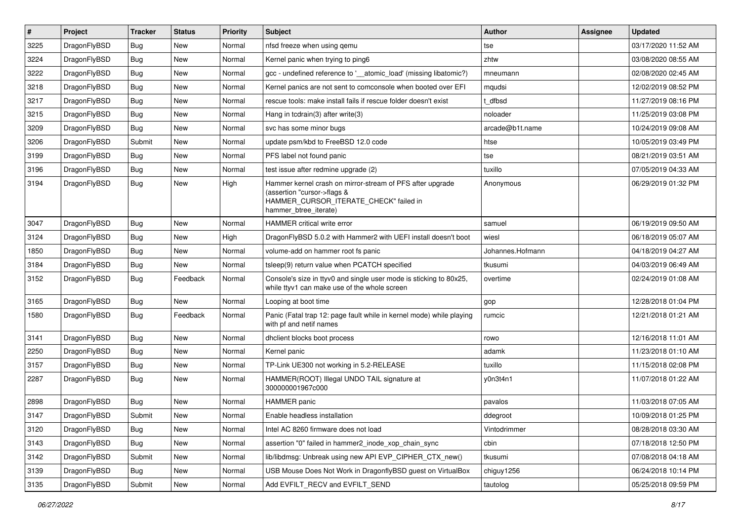| $\pmb{\#}$ | Project      | <b>Tracker</b> | <b>Status</b> | <b>Priority</b> | Subject                                                                                                                                                     | Author           | <b>Assignee</b> | <b>Updated</b>      |
|------------|--------------|----------------|---------------|-----------------|-------------------------------------------------------------------------------------------------------------------------------------------------------------|------------------|-----------------|---------------------|
| 3225       | DragonFlyBSD | Bug            | <b>New</b>    | Normal          | nfsd freeze when using qemu                                                                                                                                 | tse              |                 | 03/17/2020 11:52 AM |
| 3224       | DragonFlyBSD | Bug            | <b>New</b>    | Normal          | Kernel panic when trying to ping6                                                                                                                           | zhtw             |                 | 03/08/2020 08:55 AM |
| 3222       | DragonFlyBSD | Bug            | <b>New</b>    | Normal          | gcc - undefined reference to '__atomic_load' (missing libatomic?)                                                                                           | mneumann         |                 | 02/08/2020 02:45 AM |
| 3218       | DragonFlyBSD | Bug            | <b>New</b>    | Normal          | Kernel panics are not sent to comconsole when booted over EFI                                                                                               | mqudsi           |                 | 12/02/2019 08:52 PM |
| 3217       | DragonFlyBSD | Bug            | <b>New</b>    | Normal          | rescue tools: make install fails if rescue folder doesn't exist                                                                                             | dfbsd            |                 | 11/27/2019 08:16 PM |
| 3215       | DragonFlyBSD | Bug            | New           | Normal          | Hang in tcdrain(3) after write(3)                                                                                                                           | noloader         |                 | 11/25/2019 03:08 PM |
| 3209       | DragonFlyBSD | Bug            | <b>New</b>    | Normal          | svc has some minor bugs                                                                                                                                     | arcade@b1t.name  |                 | 10/24/2019 09:08 AM |
| 3206       | DragonFlyBSD | Submit         | <b>New</b>    | Normal          | update psm/kbd to FreeBSD 12.0 code                                                                                                                         | htse             |                 | 10/05/2019 03:49 PM |
| 3199       | DragonFlyBSD | Bug            | <b>New</b>    | Normal          | PFS label not found panic                                                                                                                                   | tse              |                 | 08/21/2019 03:51 AM |
| 3196       | DragonFlyBSD | Bug            | <b>New</b>    | Normal          | test issue after redmine upgrade (2)                                                                                                                        | tuxillo          |                 | 07/05/2019 04:33 AM |
| 3194       | DragonFlyBSD | Bug            | New           | High            | Hammer kernel crash on mirror-stream of PFS after upgrade<br>(assertion "cursor->flags &<br>HAMMER_CURSOR_ITERATE_CHECK" failed in<br>hammer_btree_iterate) | Anonymous        |                 | 06/29/2019 01:32 PM |
| 3047       | DragonFlyBSD | Bug            | <b>New</b>    | Normal          | <b>HAMMER</b> critical write error                                                                                                                          | samuel           |                 | 06/19/2019 09:50 AM |
| 3124       | DragonFlyBSD | Bug            | <b>New</b>    | High            | DragonFlyBSD 5.0.2 with Hammer2 with UEFI install doesn't boot                                                                                              | wiesl            |                 | 06/18/2019 05:07 AM |
| 1850       | DragonFlyBSD | Bug            | <b>New</b>    | Normal          | volume-add on hammer root fs panic                                                                                                                          | Johannes.Hofmann |                 | 04/18/2019 04:27 AM |
| 3184       | DragonFlyBSD | Bug            | <b>New</b>    | Normal          | tsleep(9) return value when PCATCH specified                                                                                                                | tkusumi          |                 | 04/03/2019 06:49 AM |
| 3152       | DragonFlyBSD | Bug            | Feedback      | Normal          | Console's size in ttyv0 and single user mode is sticking to 80x25,<br>while ttyv1 can make use of the whole screen                                          | overtime         |                 | 02/24/2019 01:08 AM |
| 3165       | DragonFlyBSD | <b>Bug</b>     | <b>New</b>    | Normal          | Looping at boot time                                                                                                                                        | gop              |                 | 12/28/2018 01:04 PM |
| 1580       | DragonFlyBSD | Bug            | Feedback      | Normal          | Panic (Fatal trap 12: page fault while in kernel mode) while playing<br>with pf and netif names                                                             | rumcic           |                 | 12/21/2018 01:21 AM |
| 3141       | DragonFlyBSD | <b>Bug</b>     | <b>New</b>    | Normal          | dhclient blocks boot process                                                                                                                                | rowo             |                 | 12/16/2018 11:01 AM |
| 2250       | DragonFlyBSD | Bug            | <b>New</b>    | Normal          | Kernel panic                                                                                                                                                | adamk            |                 | 11/23/2018 01:10 AM |
| 3157       | DragonFlyBSD | Bug            | <b>New</b>    | Normal          | TP-Link UE300 not working in 5.2-RELEASE                                                                                                                    | tuxillo          |                 | 11/15/2018 02:08 PM |
| 2287       | DragonFlyBSD | Bug            | <b>New</b>    | Normal          | HAMMER(ROOT) Illegal UNDO TAIL signature at<br>300000001967c000                                                                                             | y0n3t4n1         |                 | 11/07/2018 01:22 AM |
| 2898       | DragonFlyBSD | Bug            | <b>New</b>    | Normal          | <b>HAMMER</b> panic                                                                                                                                         | pavalos          |                 | 11/03/2018 07:05 AM |
| 3147       | DragonFlyBSD | Submit         | New           | Normal          | Enable headless installation                                                                                                                                | ddegroot         |                 | 10/09/2018 01:25 PM |
| 3120       | DragonFlyBSD | Bug            | <b>New</b>    | Normal          | Intel AC 8260 firmware does not load                                                                                                                        | Vintodrimmer     |                 | 08/28/2018 03:30 AM |
| 3143       | DragonFlyBSD | Bug            | New           | Normal          | assertion "0" failed in hammer2_inode_xop_chain_sync                                                                                                        | cbin             |                 | 07/18/2018 12:50 PM |
| 3142       | DragonFlyBSD | Submit         | New           | Normal          | lib/libdmsg: Unbreak using new API EVP_CIPHER_CTX_new()                                                                                                     | tkusumi          |                 | 07/08/2018 04:18 AM |
| 3139       | DragonFlyBSD | Bug            | New           | Normal          | USB Mouse Does Not Work in DragonflyBSD guest on VirtualBox                                                                                                 | chiguy1256       |                 | 06/24/2018 10:14 PM |
| 3135       | DragonFlyBSD | Submit         | New           | Normal          | Add EVFILT_RECV and EVFILT_SEND                                                                                                                             | tautolog         |                 | 05/25/2018 09:59 PM |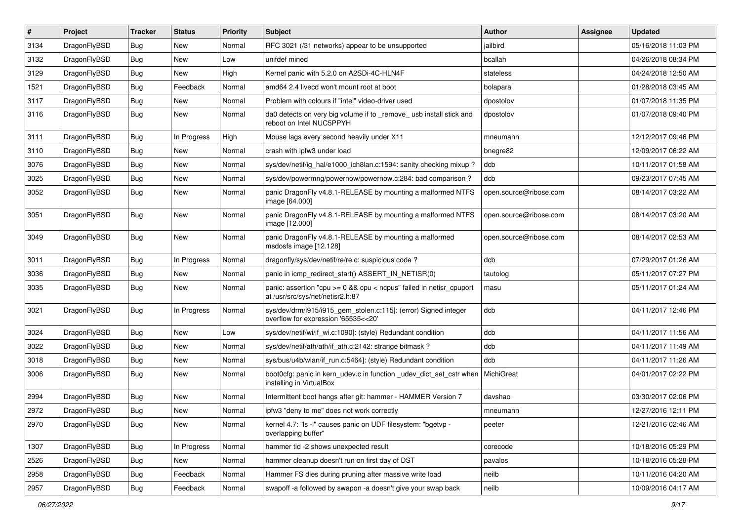| $\vert$ # | Project      | <b>Tracker</b> | <b>Status</b> | <b>Priority</b> | <b>Subject</b>                                                                                          | Author                 | Assignee | <b>Updated</b>      |
|-----------|--------------|----------------|---------------|-----------------|---------------------------------------------------------------------------------------------------------|------------------------|----------|---------------------|
| 3134      | DragonFlyBSD | Bug            | <b>New</b>    | Normal          | RFC 3021 (/31 networks) appear to be unsupported                                                        | jailbird               |          | 05/16/2018 11:03 PM |
| 3132      | DragonFlyBSD | <b>Bug</b>     | <b>New</b>    | Low             | unifdef mined                                                                                           | bcallah                |          | 04/26/2018 08:34 PM |
| 3129      | DragonFlyBSD | Bug            | New           | High            | Kernel panic with 5.2.0 on A2SDi-4C-HLN4F                                                               | stateless              |          | 04/24/2018 12:50 AM |
| 1521      | DragonFlyBSD | Bug            | Feedback      | Normal          | amd64 2.4 livecd won't mount root at boot                                                               | bolapara               |          | 01/28/2018 03:45 AM |
| 3117      | DragonFlyBSD | Bug            | <b>New</b>    | Normal          | Problem with colours if "intel" video-driver used                                                       | dpostolov              |          | 01/07/2018 11:35 PM |
| 3116      | DragonFlyBSD | Bug            | New           | Normal          | da0 detects on very big volume if to _remove_ usb install stick and<br>reboot on Intel NUC5PPYH         | dpostolov              |          | 01/07/2018 09:40 PM |
| 3111      | DragonFlyBSD | Bug            | In Progress   | High            | Mouse lags every second heavily under X11                                                               | mneumann               |          | 12/12/2017 09:46 PM |
| 3110      | DragonFlyBSD | Bug            | <b>New</b>    | Normal          | crash with ipfw3 under load                                                                             | bnegre82               |          | 12/09/2017 06:22 AM |
| 3076      | DragonFlyBSD | Bug            | <b>New</b>    | Normal          | sys/dev/netif/ig_hal/e1000_ich8lan.c:1594: sanity checking mixup ?                                      | dcb                    |          | 10/11/2017 01:58 AM |
| 3025      | DragonFlyBSD | Bug            | <b>New</b>    | Normal          | sys/dev/powermng/powernow/powernow.c:284: bad comparison?                                               | dcb                    |          | 09/23/2017 07:45 AM |
| 3052      | DragonFlyBSD | Bug            | <b>New</b>    | Normal          | panic DragonFly v4.8.1-RELEASE by mounting a malformed NTFS<br>image [64.000]                           | open.source@ribose.com |          | 08/14/2017 03:22 AM |
| 3051      | DragonFlyBSD | Bug            | New           | Normal          | panic DragonFly v4.8.1-RELEASE by mounting a malformed NTFS<br>image [12.000]                           | open.source@ribose.com |          | 08/14/2017 03:20 AM |
| 3049      | DragonFlyBSD | Bug            | New           | Normal          | panic DragonFly v4.8.1-RELEASE by mounting a malformed<br>msdosfs image [12.128]                        | open.source@ribose.com |          | 08/14/2017 02:53 AM |
| 3011      | DragonFlyBSD | Bug            | In Progress   | Normal          | dragonfly/sys/dev/netif/re/re.c: suspicious code ?                                                      | dcb                    |          | 07/29/2017 01:26 AM |
| 3036      | DragonFlyBSD | <b>Bug</b>     | <b>New</b>    | Normal          | panic in icmp redirect start() ASSERT IN NETISR(0)                                                      | tautolog               |          | 05/11/2017 07:27 PM |
| 3035      | DragonFlyBSD | Bug            | New           | Normal          | panic: assertion "cpu >= 0 && cpu < ncpus" failed in netisr_cpuport<br>at /usr/src/sys/net/netisr2.h:87 | masu                   |          | 05/11/2017 01:24 AM |
| 3021      | DragonFlyBSD | <b>Bug</b>     | In Progress   | Normal          | sys/dev/drm/i915/i915_gem_stolen.c:115]: (error) Signed integer<br>overflow for expression '65535<<20'  | dcb                    |          | 04/11/2017 12:46 PM |
| 3024      | DragonFlyBSD | Bug            | New           | Low             | sys/dev/netif/wi/if wi.c:1090]: (style) Redundant condition                                             | dcb                    |          | 04/11/2017 11:56 AM |
| 3022      | DragonFlyBSD | Bug            | <b>New</b>    | Normal          | sys/dev/netif/ath/ath/if_ath.c:2142: strange bitmask?                                                   | dcb                    |          | 04/11/2017 11:49 AM |
| 3018      | DragonFlyBSD | <b>Bug</b>     | <b>New</b>    | Normal          | sys/bus/u4b/wlan/if_run.c:5464]: (style) Redundant condition                                            | dcb                    |          | 04/11/2017 11:26 AM |
| 3006      | DragonFlyBSD | Bug            | New           | Normal          | boot0cfg: panic in kern_udev.c in function _udev_dict_set_cstr when<br>installing in VirtualBox         | <b>MichiGreat</b>      |          | 04/01/2017 02:22 PM |
| 2994      | DragonFlyBSD | Bug            | <b>New</b>    | Normal          | Intermittent boot hangs after git: hammer - HAMMER Version 7                                            | davshao                |          | 03/30/2017 02:06 PM |
| 2972      | DragonFlyBSD | <b>Bug</b>     | New           | Normal          | ipfw3 "deny to me" does not work correctly                                                              | mneumann               |          | 12/27/2016 12:11 PM |
| 2970      | DragonFlyBSD | Bug            | New           | Normal          | kernel 4.7: "Is -I" causes panic on UDF filesystem: "bgetvp -<br>overlapping buffer"                    | peeter                 |          | 12/21/2016 02:46 AM |
| 1307      | DragonFlyBSD | <b>Bug</b>     | In Progress   | Normal          | hammer tid -2 shows unexpected result                                                                   | corecode               |          | 10/18/2016 05:29 PM |
| 2526      | DragonFlyBSD | <b>Bug</b>     | New           | Normal          | hammer cleanup doesn't run on first day of DST                                                          | pavalos                |          | 10/18/2016 05:28 PM |
| 2958      | DragonFlyBSD | <b>Bug</b>     | Feedback      | Normal          | Hammer FS dies during pruning after massive write load                                                  | neilb                  |          | 10/11/2016 04:20 AM |
| 2957      | DragonFlyBSD | <b>Bug</b>     | Feedback      | Normal          | swapoff -a followed by swapon -a doesn't give your swap back                                            | neilb                  |          | 10/09/2016 04:17 AM |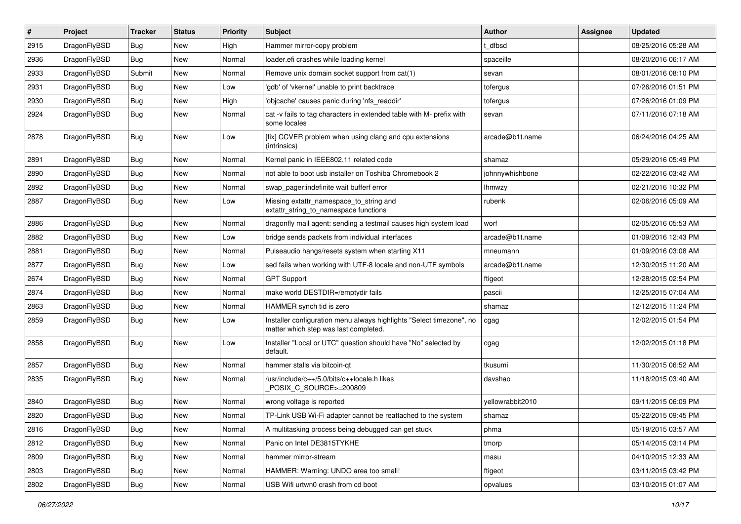| $\vert$ # | Project      | <b>Tracker</b> | <b>Status</b> | <b>Priority</b> | Subject                                                                                                       | Author           | <b>Assignee</b> | <b>Updated</b>      |
|-----------|--------------|----------------|---------------|-----------------|---------------------------------------------------------------------------------------------------------------|------------------|-----------------|---------------------|
| 2915      | DragonFlyBSD | <b>Bug</b>     | <b>New</b>    | High            | Hammer mirror-copy problem                                                                                    | t dfbsd          |                 | 08/25/2016 05:28 AM |
| 2936      | DragonFlyBSD | <b>Bug</b>     | <b>New</b>    | Normal          | loader.efi crashes while loading kernel                                                                       | spaceille        |                 | 08/20/2016 06:17 AM |
| 2933      | DragonFlyBSD | Submit         | New           | Normal          | Remove unix domain socket support from cat(1)                                                                 | sevan            |                 | 08/01/2016 08:10 PM |
| 2931      | DragonFlyBSD | Bug            | <b>New</b>    | Low             | 'gdb' of 'vkernel' unable to print backtrace                                                                  | tofergus         |                 | 07/26/2016 01:51 PM |
| 2930      | DragonFlyBSD | <b>Bug</b>     | <b>New</b>    | High            | 'objcache' causes panic during 'nfs_readdir'                                                                  | tofergus         |                 | 07/26/2016 01:09 PM |
| 2924      | DragonFlyBSD | <b>Bug</b>     | New           | Normal          | cat -v fails to tag characters in extended table with M- prefix with<br>some locales                          | sevan            |                 | 07/11/2016 07:18 AM |
| 2878      | DragonFlyBSD | <b>Bug</b>     | New           | Low             | [fix] CCVER problem when using clang and cpu extensions<br>(intrinsics)                                       | arcade@b1t.name  |                 | 06/24/2016 04:25 AM |
| 2891      | DragonFlyBSD | <b>Bug</b>     | <b>New</b>    | Normal          | Kernel panic in IEEE802.11 related code                                                                       | shamaz           |                 | 05/29/2016 05:49 PM |
| 2890      | DragonFlyBSD | <b>Bug</b>     | <b>New</b>    | Normal          | not able to boot usb installer on Toshiba Chromebook 2                                                        | johnnywhishbone  |                 | 02/22/2016 03:42 AM |
| 2892      | DragonFlyBSD | Bug            | New           | Normal          | swap_pager:indefinite wait bufferf error                                                                      | <b>Ihmwzy</b>    |                 | 02/21/2016 10:32 PM |
| 2887      | DragonFlyBSD | Bug            | <b>New</b>    | Low             | Missing extattr_namespace_to_string and<br>extattr_string_to_namespace functions                              | rubenk           |                 | 02/06/2016 05:09 AM |
| 2886      | DragonFlyBSD | Bug            | <b>New</b>    | Normal          | dragonfly mail agent: sending a testmail causes high system load                                              | worf             |                 | 02/05/2016 05:53 AM |
| 2882      | DragonFlyBSD | <b>Bug</b>     | New           | Low             | bridge sends packets from individual interfaces                                                               | arcade@b1t.name  |                 | 01/09/2016 12:43 PM |
| 2881      | DragonFlyBSD | Bug            | <b>New</b>    | Normal          | Pulseaudio hangs/resets system when starting X11                                                              | mneumann         |                 | 01/09/2016 03:08 AM |
| 2877      | DragonFlyBSD | Bug            | <b>New</b>    | Low             | sed fails when working with UTF-8 locale and non-UTF symbols                                                  | arcade@b1t.name  |                 | 12/30/2015 11:20 AM |
| 2674      | DragonFlyBSD | Bug            | <b>New</b>    | Normal          | <b>GPT Support</b>                                                                                            | ftigeot          |                 | 12/28/2015 02:54 PM |
| 2874      | DragonFlyBSD | Bug            | <b>New</b>    | Normal          | make world DESTDIR=/emptydir fails                                                                            | pascii           |                 | 12/25/2015 07:04 AM |
| 2863      | DragonFlyBSD | <b>Bug</b>     | New           | Normal          | HAMMER synch tid is zero                                                                                      | shamaz           |                 | 12/12/2015 11:24 PM |
| 2859      | DragonFlyBSD | Bug            | <b>New</b>    | Low             | Installer configuration menu always highlights "Select timezone", no<br>matter which step was last completed. | cgag             |                 | 12/02/2015 01:54 PM |
| 2858      | DragonFlyBSD | Bug            | New           | Low             | Installer "Local or UTC" question should have "No" selected by<br>default.                                    | cgag             |                 | 12/02/2015 01:18 PM |
| 2857      | DragonFlyBSD | Bug            | New           | Normal          | hammer stalls via bitcoin-qt                                                                                  | tkusumi          |                 | 11/30/2015 06:52 AM |
| 2835      | DragonFlyBSD | Bug            | <b>New</b>    | Normal          | /usr/include/c++/5.0/bits/c++locale.h likes<br>POSIX_C_SOURCE>=200809                                         | davshao          |                 | 11/18/2015 03:40 AM |
| 2840      | DragonFlyBSD | Bug            | <b>New</b>    | Normal          | wrong voltage is reported                                                                                     | yellowrabbit2010 |                 | 09/11/2015 06:09 PM |
| 2820      | DragonFlyBSD | Bug            | New           | Normal          | TP-Link USB Wi-Fi adapter cannot be reattached to the system                                                  | shamaz           |                 | 05/22/2015 09:45 PM |
| 2816      | DragonFlyBSD | Bug            | New           | Normal          | A multitasking process being debugged can get stuck                                                           | phma             |                 | 05/19/2015 03:57 AM |
| 2812      | DragonFlyBSD | Bug            | New           | Normal          | Panic on Intel DE3815TYKHE                                                                                    | tmorp            |                 | 05/14/2015 03:14 PM |
| 2809      | DragonFlyBSD | <b>Bug</b>     | New           | Normal          | hammer mirror-stream                                                                                          | masu             |                 | 04/10/2015 12:33 AM |
| 2803      | DragonFlyBSD | Bug            | New           | Normal          | HAMMER: Warning: UNDO area too small!                                                                         | ftigeot          |                 | 03/11/2015 03:42 PM |
| 2802      | DragonFlyBSD | Bug            | New           | Normal          | USB Wifi urtwn0 crash from cd boot                                                                            | opvalues         |                 | 03/10/2015 01:07 AM |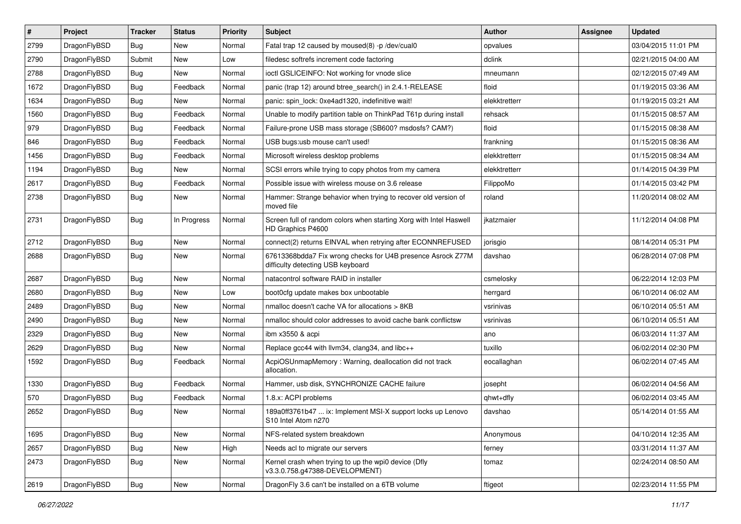| $\sharp$ | Project      | <b>Tracker</b> | <b>Status</b> | <b>Priority</b> | Subject                                                                                          | Author        | Assignee | <b>Updated</b>      |
|----------|--------------|----------------|---------------|-----------------|--------------------------------------------------------------------------------------------------|---------------|----------|---------------------|
| 2799     | DragonFlyBSD | <b>Bug</b>     | New           | Normal          | Fatal trap 12 caused by moused(8) -p /dev/cual0                                                  | opvalues      |          | 03/04/2015 11:01 PM |
| 2790     | DragonFlyBSD | Submit         | <b>New</b>    | Low             | filedesc softrefs increment code factoring                                                       | dclink        |          | 02/21/2015 04:00 AM |
| 2788     | DragonFlyBSD | <b>Bug</b>     | <b>New</b>    | Normal          | ioctl GSLICEINFO: Not working for vnode slice                                                    | mneumann      |          | 02/12/2015 07:49 AM |
| 1672     | DragonFlyBSD | <b>Bug</b>     | Feedback      | Normal          | panic (trap 12) around btree search() in 2.4.1-RELEASE                                           | floid         |          | 01/19/2015 03:36 AM |
| 1634     | DragonFlyBSD | <b>Bug</b>     | <b>New</b>    | Normal          | panic: spin_lock: 0xe4ad1320, indefinitive wait!                                                 | elekktretterr |          | 01/19/2015 03:21 AM |
| 1560     | DragonFlyBSD | <b>Bug</b>     | Feedback      | Normal          | Unable to modify partition table on ThinkPad T61p during install                                 | rehsack       |          | 01/15/2015 08:57 AM |
| 979      | DragonFlyBSD | <b>Bug</b>     | Feedback      | Normal          | Failure-prone USB mass storage (SB600? msdosfs? CAM?)                                            | floid         |          | 01/15/2015 08:38 AM |
| 846      | DragonFlyBSD | <b>Bug</b>     | Feedback      | Normal          | USB bugs:usb mouse can't used!                                                                   | frankning     |          | 01/15/2015 08:36 AM |
| 1456     | DragonFlyBSD | <b>Bug</b>     | Feedback      | Normal          | Microsoft wireless desktop problems                                                              | elekktretterr |          | 01/15/2015 08:34 AM |
| 1194     | DragonFlyBSD | Bug            | New           | Normal          | SCSI errors while trying to copy photos from my camera                                           | elekktretterr |          | 01/14/2015 04:39 PM |
| 2617     | DragonFlyBSD | <b>Bug</b>     | Feedback      | Normal          | Possible issue with wireless mouse on 3.6 release                                                | FilippoMo     |          | 01/14/2015 03:42 PM |
| 2738     | DragonFlyBSD | <b>Bug</b>     | <b>New</b>    | Normal          | Hammer: Strange behavior when trying to recover old version of<br>moved file                     | roland        |          | 11/20/2014 08:02 AM |
| 2731     | DragonFlyBSD | Bug            | In Progress   | Normal          | Screen full of random colors when starting Xorg with Intel Haswell<br>HD Graphics P4600          | jkatzmaier    |          | 11/12/2014 04:08 PM |
| 2712     | DragonFlyBSD | Bug            | <b>New</b>    | Normal          | connect(2) returns EINVAL when retrying after ECONNREFUSED                                       | jorisgio      |          | 08/14/2014 05:31 PM |
| 2688     | DragonFlyBSD | Bug            | New           | Normal          | 67613368bdda7 Fix wrong checks for U4B presence Asrock Z77M<br>difficulty detecting USB keyboard | davshao       |          | 06/28/2014 07:08 PM |
| 2687     | DragonFlyBSD | Bug            | <b>New</b>    | Normal          | natacontrol software RAID in installer                                                           | csmelosky     |          | 06/22/2014 12:03 PM |
| 2680     | DragonFlyBSD | Bug            | New           | Low             | boot0cfg update makes box unbootable                                                             | herrgard      |          | 06/10/2014 06:02 AM |
| 2489     | DragonFlyBSD | Bug            | New           | Normal          | nmalloc doesn't cache VA for allocations > 8KB                                                   | vsrinivas     |          | 06/10/2014 05:51 AM |
| 2490     | DragonFlyBSD | Bug            | New           | Normal          | nmalloc should color addresses to avoid cache bank conflictsw                                    | vsrinivas     |          | 06/10/2014 05:51 AM |
| 2329     | DragonFlyBSD | Bug            | <b>New</b>    | Normal          | ibm x3550 & acpi                                                                                 | ano           |          | 06/03/2014 11:37 AM |
| 2629     | DragonFlyBSD | Bug            | New           | Normal          | Replace gcc44 with llvm34, clang34, and libc++                                                   | tuxillo       |          | 06/02/2014 02:30 PM |
| 1592     | DragonFlyBSD | Bug            | Feedback      | Normal          | AcpiOSUnmapMemory: Warning, deallocation did not track<br>allocation.                            | eocallaghan   |          | 06/02/2014 07:45 AM |
| 1330     | DragonFlyBSD | Bug            | Feedback      | Normal          | Hammer, usb disk, SYNCHRONIZE CACHE failure                                                      | josepht       |          | 06/02/2014 04:56 AM |
| 570      | DragonFlyBSD | Bug            | Feedback      | Normal          | 1.8.x: ACPI problems                                                                             | qhwt+dfly     |          | 06/02/2014 03:45 AM |
| 2652     | DragonFlyBSD | Bug            | New           | Normal          | 189a0ff3761b47  ix: Implement MSI-X support locks up Lenovo<br>S10 Intel Atom n2/0               | davshao       |          | 05/14/2014 01:55 AM |
| 1695     | DragonFlyBSD | <b>Bug</b>     | <b>New</b>    | Normal          | NFS-related system breakdown                                                                     | Anonymous     |          | 04/10/2014 12:35 AM |
| 2657     | DragonFlyBSD | <b>Bug</b>     | New           | High            | Needs acl to migrate our servers                                                                 | ferney        |          | 03/31/2014 11:37 AM |
| 2473     | DragonFlyBSD | <b>Bug</b>     | New           | Normal          | Kernel crash when trying to up the wpi0 device (Dfly<br>v3.3.0.758.g47388-DEVELOPMENT)           | tomaz         |          | 02/24/2014 08:50 AM |
| 2619     | DragonFlyBSD | <b>Bug</b>     | New           | Normal          | DragonFly 3.6 can't be installed on a 6TB volume                                                 | ftigeot       |          | 02/23/2014 11:55 PM |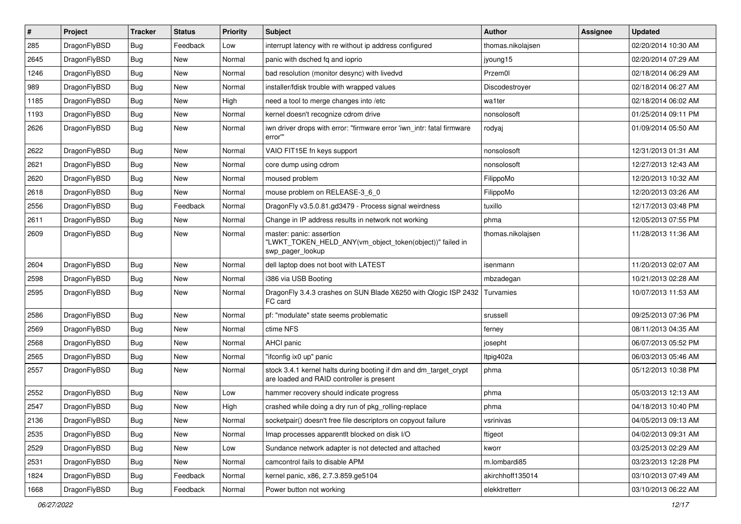| $\#$ | Project      | <b>Tracker</b> | <b>Status</b> | <b>Priority</b> | Subject                                                                                                        | <b>Author</b>     | Assignee | <b>Updated</b>      |
|------|--------------|----------------|---------------|-----------------|----------------------------------------------------------------------------------------------------------------|-------------------|----------|---------------------|
| 285  | DragonFlyBSD | Bug            | Feedback      | Low             | interrupt latency with re without ip address configured                                                        | thomas.nikolajsen |          | 02/20/2014 10:30 AM |
| 2645 | DragonFlyBSD | Bug            | <b>New</b>    | Normal          | panic with dsched fq and ioprio                                                                                | jyoung15          |          | 02/20/2014 07:29 AM |
| 1246 | DragonFlyBSD | Bug            | New           | Normal          | bad resolution (monitor desync) with livedvd                                                                   | Przem0l           |          | 02/18/2014 06:29 AM |
| 989  | DragonFlyBSD | Bug            | <b>New</b>    | Normal          | installer/fdisk trouble with wrapped values                                                                    | Discodestroyer    |          | 02/18/2014 06:27 AM |
| 1185 | DragonFlyBSD | Bug            | <b>New</b>    | High            | need a tool to merge changes into /etc                                                                         | wa1ter            |          | 02/18/2014 06:02 AM |
| 1193 | DragonFlyBSD | Bug            | New           | Normal          | kernel doesn't recognize cdrom drive                                                                           | nonsolosoft       |          | 01/25/2014 09:11 PM |
| 2626 | DragonFlyBSD | Bug            | New           | Normal          | iwn driver drops with error: "firmware error 'iwn_intr: fatal firmware<br>error"                               | rodyaj            |          | 01/09/2014 05:50 AM |
| 2622 | DragonFlyBSD | Bug            | <b>New</b>    | Normal          | VAIO FIT15E fn keys support                                                                                    | nonsolosoft       |          | 12/31/2013 01:31 AM |
| 2621 | DragonFlyBSD | Bug            | New           | Normal          | core dump using cdrom                                                                                          | nonsolosoft       |          | 12/27/2013 12:43 AM |
| 2620 | DragonFlyBSD | Bug            | <b>New</b>    | Normal          | moused problem                                                                                                 | FilippoMo         |          | 12/20/2013 10:32 AM |
| 2618 | DragonFlyBSD | Bug            | New           | Normal          | mouse problem on RELEASE-3_6_0                                                                                 | FilippoMo         |          | 12/20/2013 03:26 AM |
| 2556 | DragonFlyBSD | Bug            | Feedback      | Normal          | DragonFly v3.5.0.81.gd3479 - Process signal weirdness                                                          | tuxillo           |          | 12/17/2013 03:48 PM |
| 2611 | DragonFlyBSD | <b>Bug</b>     | New           | Normal          | Change in IP address results in network not working                                                            | phma              |          | 12/05/2013 07:55 PM |
| 2609 | DragonFlyBSD | Bug            | New           | Normal          | master: panic: assertion<br>"LWKT_TOKEN_HELD_ANY(vm_object_token(object))" failed in<br>swp_pager_lookup       | thomas.nikolajsen |          | 11/28/2013 11:36 AM |
| 2604 | DragonFlyBSD | Bug            | New           | Normal          | dell laptop does not boot with LATEST                                                                          | isenmann          |          | 11/20/2013 02:07 AM |
| 2598 | DragonFlyBSD | Bug            | New           | Normal          | i386 via USB Booting                                                                                           | mbzadegan         |          | 10/21/2013 02:28 AM |
| 2595 | DragonFlyBSD | Bug            | New           | Normal          | DragonFly 3.4.3 crashes on SUN Blade X6250 with Qlogic ISP 2432<br>FC card                                     | Turvamies         |          | 10/07/2013 11:53 AM |
| 2586 | DragonFlyBSD | Bug            | <b>New</b>    | Normal          | pf: "modulate" state seems problematic                                                                         | srussell          |          | 09/25/2013 07:36 PM |
| 2569 | DragonFlyBSD | Bug            | New           | Normal          | ctime NFS                                                                                                      | ferney            |          | 08/11/2013 04:35 AM |
| 2568 | DragonFlyBSD | Bug            | New           | Normal          | AHCI panic                                                                                                     | josepht           |          | 06/07/2013 05:52 PM |
| 2565 | DragonFlyBSD | Bug            | <b>New</b>    | Normal          | "ifconfig ix0 up" panic                                                                                        | ltpig402a         |          | 06/03/2013 05:46 AM |
| 2557 | DragonFlyBSD | <b>Bug</b>     | New           | Normal          | stock 3.4.1 kernel halts during booting if dm and dm_target_crypt<br>are loaded and RAID controller is present | phma              |          | 05/12/2013 10:38 PM |
| 2552 | DragonFlyBSD | Bug            | New           | Low             | hammer recovery should indicate progress                                                                       | phma              |          | 05/03/2013 12:13 AM |
| 2547 | DragonFlyBSD | Bug            | New           | High            | crashed while doing a dry run of pkg_rolling-replace                                                           | phma              |          | 04/18/2013 10:40 PM |
| 2136 | DragonFlyBSD | <b>Bug</b>     | <b>New</b>    | Normal          | socketpair() doesn't free file descriptors on copyout failure                                                  | vsrinivas         |          | 04/05/2013 09:13 AM |
| 2535 | DragonFlyBSD | <b>Bug</b>     | <b>New</b>    | Normal          | Imap processes apparentlt blocked on disk I/O                                                                  | ftigeot           |          | 04/02/2013 09:31 AM |
| 2529 | DragonFlyBSD | <b>Bug</b>     | New           | Low             | Sundance network adapter is not detected and attached                                                          | kworr             |          | 03/25/2013 02:29 AM |
| 2531 | DragonFlyBSD | <b>Bug</b>     | New           | Normal          | camcontrol fails to disable APM                                                                                | m.lombardi85      |          | 03/23/2013 12:28 PM |
| 1824 | DragonFlyBSD | <b>Bug</b>     | Feedback      | Normal          | kernel panic, x86, 2.7.3.859.ge5104                                                                            | akirchhoff135014  |          | 03/10/2013 07:49 AM |
| 1668 | DragonFlyBSD | <b>Bug</b>     | Feedback      | Normal          | Power button not working                                                                                       | elekktretterr     |          | 03/10/2013 06:22 AM |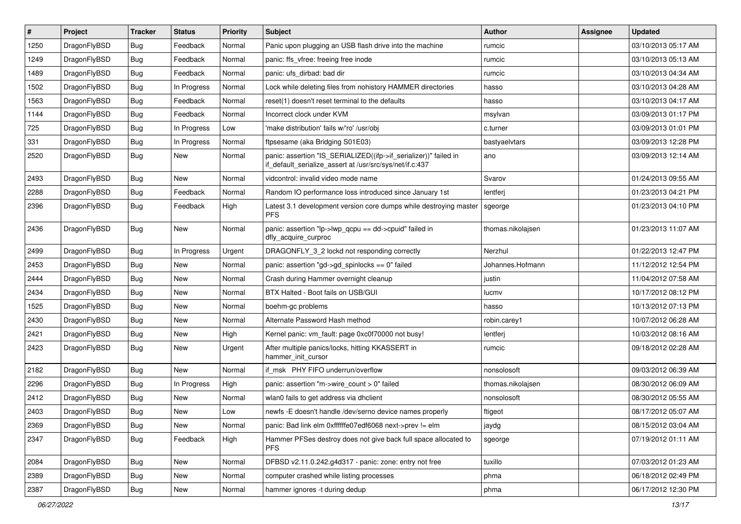| $\vert$ # | Project      | <b>Tracker</b> | <b>Status</b> | <b>Priority</b> | Subject                                                                                                                      | <b>Author</b>     | <b>Assignee</b> | <b>Updated</b>      |
|-----------|--------------|----------------|---------------|-----------------|------------------------------------------------------------------------------------------------------------------------------|-------------------|-----------------|---------------------|
| 1250      | DragonFlyBSD | Bug            | Feedback      | Normal          | Panic upon plugging an USB flash drive into the machine                                                                      | rumcic            |                 | 03/10/2013 05:17 AM |
| 1249      | DragonFlyBSD | Bug            | Feedback      | Normal          | panic: ffs vfree: freeing free inode                                                                                         | rumcic            |                 | 03/10/2013 05:13 AM |
| 1489      | DragonFlyBSD | <b>Bug</b>     | Feedback      | Normal          | panic: ufs dirbad: bad dir                                                                                                   | rumcic            |                 | 03/10/2013 04:34 AM |
| 1502      | DragonFlyBSD | <b>Bug</b>     | In Progress   | Normal          | Lock while deleting files from nohistory HAMMER directories                                                                  | hasso             |                 | 03/10/2013 04:28 AM |
| 1563      | DragonFlyBSD | Bug            | Feedback      | Normal          | reset(1) doesn't reset terminal to the defaults                                                                              | hasso             |                 | 03/10/2013 04:17 AM |
| 1144      | DragonFlyBSD | <b>Bug</b>     | Feedback      | Normal          | Incorrect clock under KVM                                                                                                    | msylvan           |                 | 03/09/2013 01:17 PM |
| 725       | DragonFlyBSD | Bug            | In Progress   | Low             | 'make distribution' fails w/'ro' /usr/obi                                                                                    | c.turner          |                 | 03/09/2013 01:01 PM |
| 331       | DragonFlyBSD | Bug            | In Progress   | Normal          | ftpsesame (aka Bridging S01E03)                                                                                              | bastyaelvtars     |                 | 03/09/2013 12:28 PM |
| 2520      | DragonFlyBSD | Bug            | New           | Normal          | panic: assertion "IS_SERIALIZED((ifp->if_serializer))" failed in<br>if_default_serialize_assert at /usr/src/sys/net/if.c:437 | ano               |                 | 03/09/2013 12:14 AM |
| 2493      | DragonFlyBSD | Bug            | <b>New</b>    | Normal          | vidcontrol: invalid video mode name                                                                                          | Svarov            |                 | 01/24/2013 09:55 AM |
| 2288      | DragonFlyBSD | <b>Bug</b>     | Feedback      | Normal          | Random IO performance loss introduced since January 1st                                                                      | lentferj          |                 | 01/23/2013 04:21 PM |
| 2396      | DragonFlyBSD | Bug            | Feedback      | High            | Latest 3.1 development version core dumps while destroying master<br><b>PFS</b>                                              | sgeorge           |                 | 01/23/2013 04:10 PM |
| 2436      | DragonFlyBSD | Bug            | <b>New</b>    | Normal          | panic: assertion "lp->lwp_qcpu == dd->cpuid" failed in<br>dfly acquire curproc                                               | thomas.nikolajsen |                 | 01/23/2013 11:07 AM |
| 2499      | DragonFlyBSD | Bug            | In Progress   | Urgent          | DRAGONFLY_3_2 lockd not responding correctly                                                                                 | Nerzhul           |                 | 01/22/2013 12:47 PM |
| 2453      | DragonFlyBSD | <b>Bug</b>     | <b>New</b>    | Normal          | panic: assertion "gd->gd spinlocks == $0$ " failed                                                                           | Johannes.Hofmann  |                 | 11/12/2012 12:54 PM |
| 2444      | DragonFlyBSD | <b>Bug</b>     | New           | Normal          | Crash during Hammer overnight cleanup                                                                                        | justin            |                 | 11/04/2012 07:58 AM |
| 2434      | DragonFlyBSD | Bug            | <b>New</b>    | Normal          | BTX Halted - Boot fails on USB/GUI                                                                                           | lucmv             |                 | 10/17/2012 08:12 PM |
| 1525      | DragonFlyBSD | <b>Bug</b>     | <b>New</b>    | Normal          | boehm-gc problems                                                                                                            | hasso             |                 | 10/13/2012 07:13 PM |
| 2430      | DragonFlyBSD | Bug            | New           | Normal          | Alternate Password Hash method                                                                                               | robin.carey1      |                 | 10/07/2012 06:28 AM |
| 2421      | DragonFlyBSD | Bug            | <b>New</b>    | High            | Kernel panic: vm_fault: page 0xc0f70000 not busy!                                                                            | lentferj          |                 | 10/03/2012 08:16 AM |
| 2423      | DragonFlyBSD | Bug            | New           | Urgent          | After multiple panics/locks, hitting KKASSERT in<br>hammer_init_cursor                                                       | rumcic            |                 | 09/18/2012 02:28 AM |
| 2182      | DragonFlyBSD | Bug            | New           | Normal          | if msk PHY FIFO underrun/overflow                                                                                            | nonsolosoft       |                 | 09/03/2012 06:39 AM |
| 2296      | DragonFlyBSD | Bug            | In Progress   | High            | panic: assertion "m->wire count > 0" failed                                                                                  | thomas.nikolajsen |                 | 08/30/2012 06:09 AM |
| 2412      | DragonFlyBSD | Bug            | New           | Normal          | wlan0 fails to get address via dhclient                                                                                      | nonsolosoft       |                 | 08/30/2012 05:55 AM |
| 2403      | DragonFlyBSD | <b>Bug</b>     | New           | Low             | newfs -E doesn't handle /dev/serno device names properly                                                                     | ftigeot           |                 | 08/17/2012 05:07 AM |
| 2369      | DragonFlyBSD | <b>Bug</b>     | New           | Normal          | panic: Bad link elm 0xffffffe07edf6068 next->prev != elm                                                                     | jaydg             |                 | 08/15/2012 03:04 AM |
| 2347      | DragonFlyBSD | <b>Bug</b>     | Feedback      | High            | Hammer PFSes destroy does not give back full space allocated to<br><b>PFS</b>                                                | sgeorge           |                 | 07/19/2012 01:11 AM |
| 2084      | DragonFlyBSD | Bug            | New           | Normal          | DFBSD v2.11.0.242.g4d317 - panic: zone: entry not free                                                                       | tuxillo           |                 | 07/03/2012 01:23 AM |
| 2389      | DragonFlyBSD | Bug            | New           | Normal          | computer crashed while listing processes                                                                                     | phma              |                 | 06/18/2012 02:49 PM |
| 2387      | DragonFlyBSD | Bug            | New           | Normal          | hammer ignores -t during dedup                                                                                               | phma              |                 | 06/17/2012 12:30 PM |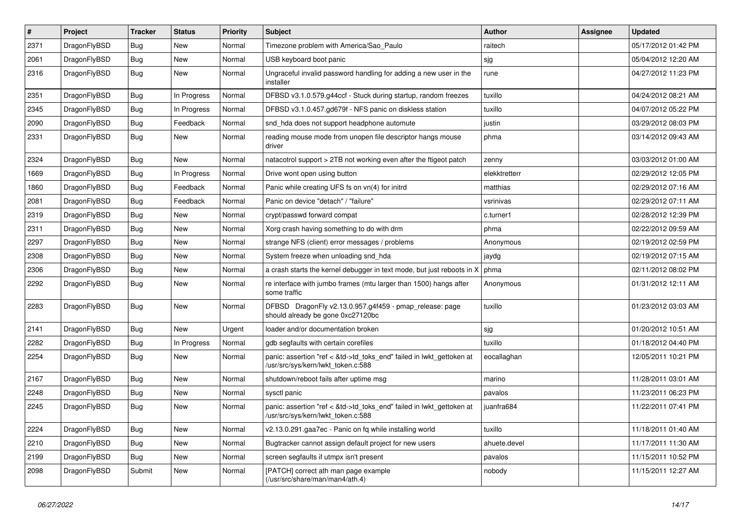| $\sharp$ | Project      | <b>Tracker</b> | <b>Status</b> | <b>Priority</b> | Subject                                                                                                    | Author        | Assignee | <b>Updated</b>      |
|----------|--------------|----------------|---------------|-----------------|------------------------------------------------------------------------------------------------------------|---------------|----------|---------------------|
| 2371     | DragonFlyBSD | <b>Bug</b>     | New           | Normal          | Timezone problem with America/Sao_Paulo                                                                    | raitech       |          | 05/17/2012 01:42 PM |
| 2061     | DragonFlyBSD | Bug            | New           | Normal          | USB keyboard boot panic                                                                                    | sjg           |          | 05/04/2012 12:20 AM |
| 2316     | DragonFlyBSD | <b>Bug</b>     | New           | Normal          | Ungraceful invalid password handling for adding a new user in the<br>installer                             | rune          |          | 04/27/2012 11:23 PM |
| 2351     | DragonFlyBSD | Bug            | In Progress   | Normal          | DFBSD v3.1.0.579.g44ccf - Stuck during startup, random freezes                                             | tuxillo       |          | 04/24/2012 08:21 AM |
| 2345     | DragonFlyBSD | <b>Bug</b>     | In Progress   | Normal          | DFBSD v3.1.0.457.gd679f - NFS panic on diskless station                                                    | tuxillo       |          | 04/07/2012 05:22 PM |
| 2090     | DragonFlyBSD | Bug            | Feedback      | Normal          | snd_hda does not support headphone automute                                                                | justin        |          | 03/29/2012 08:03 PM |
| 2331     | DragonFlyBSD | Bug            | New           | Normal          | reading mouse mode from unopen file descriptor hangs mouse<br>driver                                       | phma          |          | 03/14/2012 09:43 AM |
| 2324     | DragonFlyBSD | Bug            | New           | Normal          | natacotrol support > 2TB not working even after the ftigeot patch                                          | zenny         |          | 03/03/2012 01:00 AM |
| 1669     | DragonFlyBSD | <b>Bug</b>     | In Progress   | Normal          | Drive wont open using button                                                                               | elekktretterr |          | 02/29/2012 12:05 PM |
| 1860     | DragonFlyBSD | <b>Bug</b>     | Feedback      | Normal          | Panic while creating UFS fs on vn(4) for initrd                                                            | matthias      |          | 02/29/2012 07:16 AM |
| 2081     | DragonFlyBSD | Bug            | Feedback      | Normal          | Panic on device "detach" / "failure"                                                                       | vsrinivas     |          | 02/29/2012 07:11 AM |
| 2319     | DragonFlyBSD | <b>Bug</b>     | New           | Normal          | crypt/passwd forward compat                                                                                | c.turner1     |          | 02/28/2012 12:39 PM |
| 2311     | DragonFlyBSD | Bug            | New           | Normal          | Xorg crash having something to do with drm                                                                 | phma          |          | 02/22/2012 09:59 AM |
| 2297     | DragonFlyBSD | <b>Bug</b>     | <b>New</b>    | Normal          | strange NFS (client) error messages / problems                                                             | Anonymous     |          | 02/19/2012 02:59 PM |
| 2308     | DragonFlyBSD | <b>Bug</b>     | New           | Normal          | System freeze when unloading snd_hda                                                                       | jaydg         |          | 02/19/2012 07:15 AM |
| 2306     | DragonFlyBSD | Bug            | New           | Normal          | a crash starts the kernel debugger in text mode, but just reboots in X                                     | phma          |          | 02/11/2012 08:02 PM |
| 2292     | DragonFlyBSD | <b>Bug</b>     | New           | Normal          | re interface with jumbo frames (mtu larger than 1500) hangs after<br>some traffic                          | Anonymous     |          | 01/31/2012 12:11 AM |
| 2283     | DragonFlyBSD | <b>Bug</b>     | <b>New</b>    | Normal          | DFBSD DragonFly v2.13.0.957.g4f459 - pmap_release: page<br>should already be gone 0xc27120bc               | tuxillo       |          | 01/23/2012 03:03 AM |
| 2141     | DragonFlyBSD | Bug            | <b>New</b>    | Urgent          | loader and/or documentation broken                                                                         | sjg           |          | 01/20/2012 10:51 AM |
| 2282     | DragonFlyBSD | <b>Bug</b>     | In Progress   | Normal          | gdb segfaults with certain corefiles                                                                       | tuxillo       |          | 01/18/2012 04:40 PM |
| 2254     | DragonFlyBSD | <b>Bug</b>     | New           | Normal          | panic: assertion "ref < &td->td_toks_end" failed in lwkt_gettoken at<br>/usr/src/sys/kern/lwkt_token.c:588 | eocallaghan   |          | 12/05/2011 10:21 PM |
| 2167     | DragonFlyBSD | <b>Bug</b>     | <b>New</b>    | Normal          | shutdown/reboot fails after uptime msg                                                                     | marino        |          | 11/28/2011 03:01 AM |
| 2248     | DragonFlyBSD | <b>Bug</b>     | New           | Normal          | sysctl panic                                                                                               | pavalos       |          | 11/23/2011 06:23 PM |
| 2245     | DragonFlyBSD | Bug            | New           | Normal          | panic: assertion "ref < &td->td_toks_end" failed in lwkt_gettoken at<br>/usr/src/sys/kern/lwkt_token.c:588 | juanfra684    |          | 11/22/2011 07:41 PM |
| 2224     | DragonFlyBSD | <b>Bug</b>     | New           | Normal          | v2.13.0.291.gaa7ec - Panic on fq while installing world                                                    | tuxillo       |          | 11/18/2011 01:40 AM |
| 2210     | DragonFlyBSD | Bug            | New           | Normal          | Bugtracker cannot assign default project for new users                                                     | ahuete.devel  |          | 11/17/2011 11:30 AM |
| 2199     | DragonFlyBSD | <b>Bug</b>     | <b>New</b>    | Normal          | screen segfaults if utmpx isn't present                                                                    | pavalos       |          | 11/15/2011 10:52 PM |
| 2098     | DragonFlyBSD | Submit         | New           | Normal          | [PATCH] correct ath man page example<br>(/usr/src/share/man/man4/ath.4)                                    | nobody        |          | 11/15/2011 12:27 AM |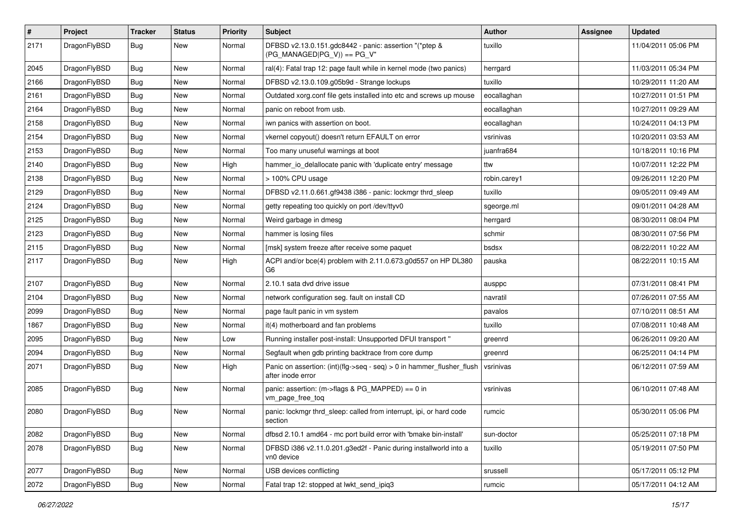| #    | Project      | <b>Tracker</b> | <b>Status</b> | <b>Priority</b> | Subject                                                                                    | Author       | <b>Assignee</b> | <b>Updated</b>      |
|------|--------------|----------------|---------------|-----------------|--------------------------------------------------------------------------------------------|--------------|-----------------|---------------------|
| 2171 | DragonFlyBSD | Bug            | New           | Normal          | DFBSD v2.13.0.151.gdc8442 - panic: assertion "(*ptep &<br>(PG MANAGED PG V)) == PG V"      | tuxillo      |                 | 11/04/2011 05:06 PM |
| 2045 | DragonFlyBSD | <b>Bug</b>     | <b>New</b>    | Normal          | ral(4): Fatal trap 12: page fault while in kernel mode (two panics)                        | herrgard     |                 | 11/03/2011 05:34 PM |
| 2166 | DragonFlyBSD | Bug            | New           | Normal          | DFBSD v2.13.0.109.g05b9d - Strange lockups                                                 | tuxillo      |                 | 10/29/2011 11:20 AM |
| 2161 | DragonFlyBSD | <b>Bug</b>     | <b>New</b>    | Normal          | Outdated xorg.conf file gets installed into etc and screws up mouse                        | eocallaghan  |                 | 10/27/2011 01:51 PM |
| 2164 | DragonFlyBSD | <b>Bug</b>     | New           | Normal          | panic on reboot from usb.                                                                  | eocallaghan  |                 | 10/27/2011 09:29 AM |
| 2158 | DragonFlyBSD | <b>Bug</b>     | <b>New</b>    | Normal          | iwn panics with assertion on boot.                                                         | eocallaghan  |                 | 10/24/2011 04:13 PM |
| 2154 | DragonFlyBSD | <b>Bug</b>     | New           | Normal          | vkernel copyout() doesn't return EFAULT on error                                           | vsrinivas    |                 | 10/20/2011 03:53 AM |
| 2153 | DragonFlyBSD | Bug            | <b>New</b>    | Normal          | Too many unuseful warnings at boot                                                         | juanfra684   |                 | 10/18/2011 10:16 PM |
| 2140 | DragonFlyBSD | Bug            | <b>New</b>    | High            | hammer_io_delallocate panic with 'duplicate entry' message                                 | ttw          |                 | 10/07/2011 12:22 PM |
| 2138 | DragonFlyBSD | <b>Bug</b>     | New           | Normal          | > 100% CPU usage                                                                           | robin.carey1 |                 | 09/26/2011 12:20 PM |
| 2129 | DragonFlyBSD | Bug            | <b>New</b>    | Normal          | DFBSD v2.11.0.661.gf9438 i386 - panic: lockmgr thrd_sleep                                  | tuxillo      |                 | 09/05/2011 09:49 AM |
| 2124 | DragonFlyBSD | Bug            | New           | Normal          | getty repeating too quickly on port /dev/ttyv0                                             | sgeorge.ml   |                 | 09/01/2011 04:28 AM |
| 2125 | DragonFlyBSD | Bug            | <b>New</b>    | Normal          | Weird garbage in dmesg                                                                     | herrgard     |                 | 08/30/2011 08:04 PM |
| 2123 | DragonFlyBSD | Bug            | <b>New</b>    | Normal          | hammer is losing files                                                                     | schmir       |                 | 08/30/2011 07:56 PM |
| 2115 | DragonFlyBSD | <b>Bug</b>     | New           | Normal          | [msk] system freeze after receive some paquet                                              | bsdsx        |                 | 08/22/2011 10:22 AM |
| 2117 | DragonFlyBSD | Bug            | New           | High            | ACPI and/or bce(4) problem with 2.11.0.673.g0d557 on HP DL380<br>G <sub>6</sub>            | pauska       |                 | 08/22/2011 10:15 AM |
| 2107 | DragonFlyBSD | Bug            | New           | Normal          | 2.10.1 sata dvd drive issue                                                                | ausppc       |                 | 07/31/2011 08:41 PM |
| 2104 | DragonFlyBSD | Bug            | <b>New</b>    | Normal          | network configuration seg. fault on install CD                                             | navratil     |                 | 07/26/2011 07:55 AM |
| 2099 | DragonFlyBSD | <b>Bug</b>     | New           | Normal          | page fault panic in vm system                                                              | pavalos      |                 | 07/10/2011 08:51 AM |
| 1867 | DragonFlyBSD | Bug            | New           | Normal          | it(4) motherboard and fan problems                                                         | tuxillo      |                 | 07/08/2011 10:48 AM |
| 2095 | DragonFlyBSD | <b>Bug</b>     | <b>New</b>    | Low             | Running installer post-install: Unsupported DFUI transport "                               | greenrd      |                 | 06/26/2011 09:20 AM |
| 2094 | DragonFlyBSD | <b>Bug</b>     | New           | Normal          | Segfault when gdb printing backtrace from core dump                                        | greenrd      |                 | 06/25/2011 04:14 PM |
| 2071 | DragonFlyBSD | Bug            | <b>New</b>    | High            | Panic on assertion: (int)(flg->seq - seq) > 0 in hammer_flusher_flush<br>after inode error | vsrinivas    |                 | 06/12/2011 07:59 AM |
| 2085 | DragonFlyBSD | Bug            | New           | Normal          | panic: assertion: (m->flags & PG_MAPPED) == 0 in<br>vm_page_free_toq                       | vsrinivas    |                 | 06/10/2011 07:48 AM |
| 2080 | DragonFlyBSD | Bug            | New           | Normal          | panic: lockmgr thrd sleep: called from interrupt, ipi, or hard code<br>section             | rumcic       |                 | 05/30/2011 05:06 PM |
| 2082 | DragonFlyBSD | <b>Bug</b>     | New           | Normal          | dfbsd 2.10.1 amd64 - mc port build error with 'bmake bin-install'                          | sun-doctor   |                 | 05/25/2011 07:18 PM |
| 2078 | DragonFlyBSD | <b>Bug</b>     | New           | Normal          | DFBSD i386 v2.11.0.201.g3ed2f - Panic during installworld into a<br>vn0 device             | tuxillo      |                 | 05/19/2011 07:50 PM |
| 2077 | DragonFlyBSD | <b>Bug</b>     | New           | Normal          | USB devices conflicting                                                                    | srussell     |                 | 05/17/2011 05:12 PM |
| 2072 | DragonFlyBSD | <b>Bug</b>     | New           | Normal          | Fatal trap 12: stopped at lwkt_send_ipiq3                                                  | rumcic       |                 | 05/17/2011 04:12 AM |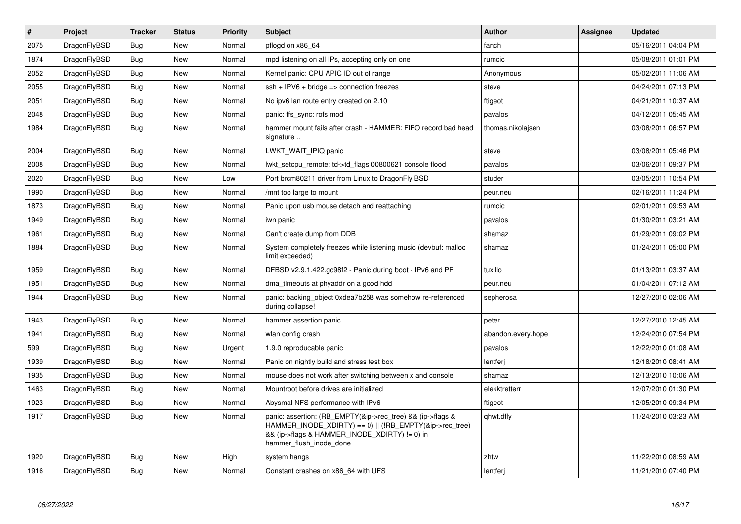| $\vert$ # | Project      | <b>Tracker</b> | <b>Status</b> | Priority | <b>Subject</b>                                                                                                                                                                                    | Author             | Assignee | <b>Updated</b>      |
|-----------|--------------|----------------|---------------|----------|---------------------------------------------------------------------------------------------------------------------------------------------------------------------------------------------------|--------------------|----------|---------------------|
| 2075      | DragonFlyBSD | <b>Bug</b>     | <b>New</b>    | Normal   | pflogd on x86 64                                                                                                                                                                                  | fanch              |          | 05/16/2011 04:04 PM |
| 1874      | DragonFlyBSD | <b>Bug</b>     | <b>New</b>    | Normal   | mpd listening on all IPs, accepting only on one                                                                                                                                                   | rumcic             |          | 05/08/2011 01:01 PM |
| 2052      | DragonFlyBSD | <b>Bug</b>     | <b>New</b>    | Normal   | Kernel panic: CPU APIC ID out of range                                                                                                                                                            | Anonymous          |          | 05/02/2011 11:06 AM |
| 2055      | DragonFlyBSD | Bug            | New           | Normal   | $ssh + IPV6 + bridge \Rightarrow$ connection freezes                                                                                                                                              | steve              |          | 04/24/2011 07:13 PM |
| 2051      | DragonFlyBSD | <b>Bug</b>     | <b>New</b>    | Normal   | No ipv6 lan route entry created on 2.10                                                                                                                                                           | ftigeot            |          | 04/21/2011 10:37 AM |
| 2048      | DragonFlyBSD | Bug            | <b>New</b>    | Normal   | panic: ffs sync: rofs mod                                                                                                                                                                         | pavalos            |          | 04/12/2011 05:45 AM |
| 1984      | DragonFlyBSD | <b>Bug</b>     | <b>New</b>    | Normal   | hammer mount fails after crash - HAMMER: FIFO record bad head<br>signature                                                                                                                        | thomas.nikolajsen  |          | 03/08/2011 06:57 PM |
| 2004      | DragonFlyBSD | <b>Bug</b>     | <b>New</b>    | Normal   | LWKT_WAIT_IPIQ panic                                                                                                                                                                              | steve              |          | 03/08/2011 05:46 PM |
| 2008      | DragonFlyBSD | <b>Bug</b>     | New           | Normal   | lwkt setcpu remote: td->td flags 00800621 console flood                                                                                                                                           | pavalos            |          | 03/06/2011 09:37 PM |
| 2020      | DragonFlyBSD | <b>Bug</b>     | <b>New</b>    | Low      | Port brcm80211 driver from Linux to DragonFly BSD                                                                                                                                                 | studer             |          | 03/05/2011 10:54 PM |
| 1990      | DragonFlyBSD | Bug            | New           | Normal   | /mnt too large to mount                                                                                                                                                                           | peur.neu           |          | 02/16/2011 11:24 PM |
| 1873      | DragonFlyBSD | Bug            | New           | Normal   | Panic upon usb mouse detach and reattaching                                                                                                                                                       | rumcic             |          | 02/01/2011 09:53 AM |
| 1949      | DragonFlyBSD | <b>Bug</b>     | New           | Normal   | iwn panic                                                                                                                                                                                         | pavalos            |          | 01/30/2011 03:21 AM |
| 1961      | DragonFlyBSD | Bug            | New           | Normal   | Can't create dump from DDB                                                                                                                                                                        | shamaz             |          | 01/29/2011 09:02 PM |
| 1884      | DragonFlyBSD | <b>Bug</b>     | New           | Normal   | System completely freezes while listening music (devbuf: malloc<br>limit exceeded)                                                                                                                | shamaz             |          | 01/24/2011 05:00 PM |
| 1959      | DragonFlyBSD | <b>Bug</b>     | New           | Normal   | DFBSD v2.9.1.422.gc98f2 - Panic during boot - IPv6 and PF                                                                                                                                         | tuxillo            |          | 01/13/2011 03:37 AM |
| 1951      | DragonFlyBSD | Bug            | New           | Normal   | dma timeouts at phyaddr on a good hdd                                                                                                                                                             | peur.neu           |          | 01/04/2011 07:12 AM |
| 1944      | DragonFlyBSD | <b>Bug</b>     | New           | Normal   | panic: backing object 0xdea7b258 was somehow re-referenced<br>during collapse!                                                                                                                    | sepherosa          |          | 12/27/2010 02:06 AM |
| 1943      | DragonFlyBSD | <b>Bug</b>     | New           | Normal   | hammer assertion panic                                                                                                                                                                            | peter              |          | 12/27/2010 12:45 AM |
| 1941      | DragonFlyBSD | Bug            | New           | Normal   | wlan config crash                                                                                                                                                                                 | abandon.every.hope |          | 12/24/2010 07:54 PM |
| 599       | DragonFlyBSD | <b>Bug</b>     | New           | Urgent   | 1.9.0 reproducable panic                                                                                                                                                                          | pavalos            |          | 12/22/2010 01:08 AM |
| 1939      | DragonFlyBSD | Bug            | <b>New</b>    | Normal   | Panic on nightly build and stress test box                                                                                                                                                        | lentferi           |          | 12/18/2010 08:41 AM |
| 1935      | DragonFlyBSD | <b>Bug</b>     | <b>New</b>    | Normal   | mouse does not work after switching between x and console                                                                                                                                         | shamaz             |          | 12/13/2010 10:06 AM |
| 1463      | DragonFlyBSD | Bug            | <b>New</b>    | Normal   | Mountroot before drives are initialized                                                                                                                                                           | elekktretterr      |          | 12/07/2010 01:30 PM |
| 1923      | DragonFlyBSD | <b>Bug</b>     | <b>New</b>    | Normal   | Abysmal NFS performance with IPv6                                                                                                                                                                 | ftigeot            |          | 12/05/2010 09:34 PM |
| 1917      | DragonFlyBSD | Bug            | <b>New</b>    | Normal   | panic: assertion: (RB EMPTY(&ip->rec tree) && (ip->flags &<br>HAMMER_INODE_XDIRTY) == 0)    (!RB_EMPTY(&ip->rec_tree)<br>&& (ip->flags & HAMMER_INODE_XDIRTY) != 0) in<br>hammer_flush_inode_done | qhwt.dfly          |          | 11/24/2010 03:23 AM |
| 1920      | DragonFlyBSD | Bug            | New           | High     | system hangs                                                                                                                                                                                      | zhtw               |          | 11/22/2010 08:59 AM |
| 1916      | DragonFlyBSD | Bug            | <b>New</b>    | Normal   | Constant crashes on x86_64 with UFS                                                                                                                                                               | lentferj           |          | 11/21/2010 07:40 PM |